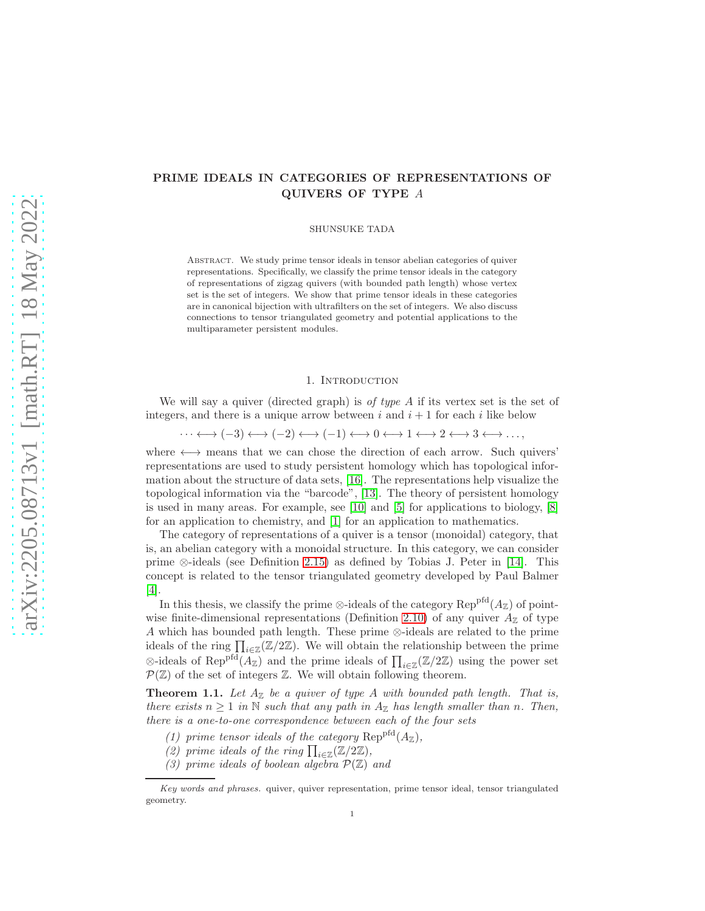# PRIME IDEALS IN CATEGORIES OF REPRESENTATIONS OF QUIVERS OF TYPE A

SHUNSUKE TADA

Abstract. We study prime tensor ideals in tensor abelian categories of quiver representations. Specifically, we classify the prime tensor ideals in the category of representations of zigzag quivers (with bounded path length) whose vertex set is the set of integers. We show that prime tensor ideals in these categories are in canonical bijection with ultrafilters on the set of integers. We also discuss connections to tensor triangulated geometry and potential applications to the multiparameter persistent modules.

#### 1. INTRODUCTION

We will say a quiver (directed graph) is *of type A* if its vertex set is the set of integers, and there is a unique arrow between  $i$  and  $i + 1$  for each  $i$  like below

 $\cdots \longleftrightarrow (-3) \longleftrightarrow (-2) \longleftrightarrow (-1) \longleftrightarrow 0 \longleftrightarrow 1 \longleftrightarrow 2 \longleftrightarrow 3 \longleftrightarrow \ldots,$ 

where  $\longleftrightarrow$  means that we can chose the direction of each arrow. Such quivers' representations are used to study persistent homology which has topological information about the structure of data sets, [\[16\]](#page-25-0). The representations help visualize the topological information via the "barcode", [\[13\]](#page-25-1). The theory of persistent homology is used in many areas. For example, see [\[10\]](#page-25-2) and [\[5\]](#page-25-3) for applications to biology, [\[8\]](#page-25-4) for an application to chemistry, and [\[1\]](#page-24-0) for an application to mathematics.

The category of representations of a quiver is a tensor (monoidal) category, that is, an abelian category with a monoidal structure. In this category, we can consider prime ⊗-ideals (see Definition [2.15\)](#page-6-0) as defined by Tobias J. Peter in [\[14\]](#page-25-5). This concept is related to the tensor triangulated geometry developed by Paul Balmer [\[4\]](#page-25-6).

In this thesis, we classify the prime ⊗-ideals of the category  $\mathrm{Rep}^{\mathrm{pfd}}(A_{\mathbb{Z}})$  of point-wise finite-dimensional representations (Definition [2.10\)](#page-3-0) of any quiver  $A_{\mathbb{Z}}$  of type A which has bounded path length. These prime ⊗-ideals are related to the prime ideals of the ring  $\prod_{i\in\mathbb{Z}}(\mathbb{Z}/2\mathbb{Z})$ . We will obtain the relationship between the prime ⊗-ideals of Rep<sup>pfd</sup>( $A_{\mathbb{Z}}$ ) and the prime ideals of  $\prod_{i\in\mathbb{Z}}(\mathbb{Z}/2\mathbb{Z})$  using the power set  $\mathcal{P}(\mathbb{Z})$  of the set of integers  $\mathbb{Z}$ . We will obtain following theorem.

**Theorem 1.1.** Let  $A_{\mathbb{Z}}$  be a quiver of type A with bounded path length. That is, there exists  $n \geq 1$  in N such that any path in  $A_{\mathbb{Z}}$  has length smaller than n. Then, there is a one-to-one correspondence between each of the four sets

- (1) prime tensor ideals of the category  $\text{Rep}^{\text{pfd}}(A_{\mathbb{Z}})$ ,
- (2) prime ideals of the ring  $\prod_{i\in\mathbb{Z}}(\mathbb{Z}/2\mathbb{Z}),$
- (3) prime ideals of boolean algebra  $\mathcal{P}(\mathbb{Z})$  and

*Key words and phrases.* quiver, quiver representation, prime tensor ideal, tensor triangulated geometry.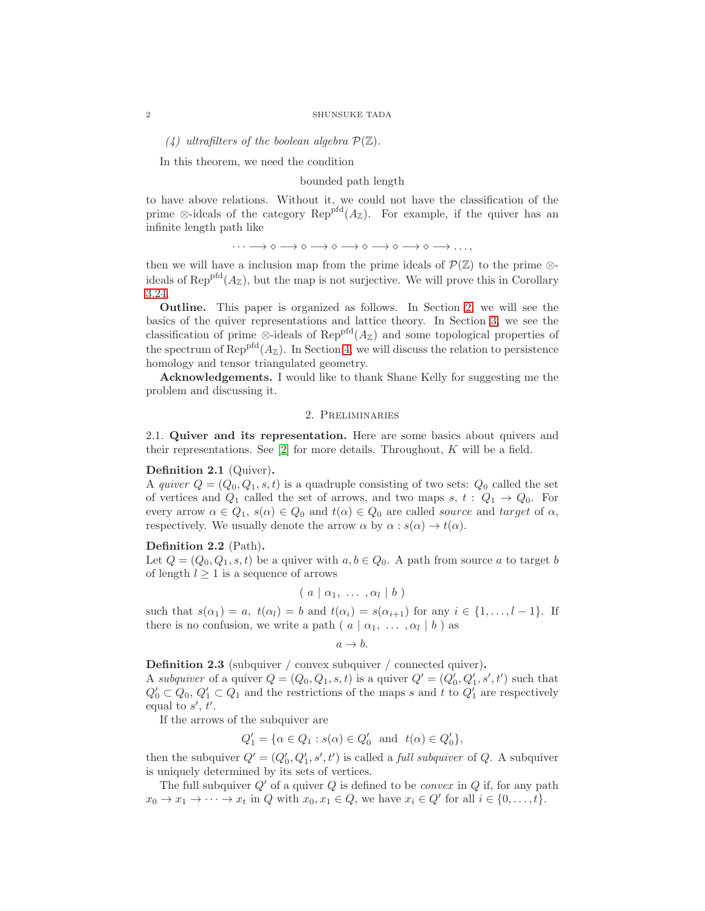(4) ultrafilters of the boolean algebra  $\mathcal{P}(\mathbb{Z})$ .

In this theorem, we need the condition

#### bounded path length

to have above relations. Without it, we could not have the classification of the prime ⊗-ideals of the category Rep<sup>pfd</sup>( $A_{\mathbb{Z}}$ ). For example, if the quiver has an infinite length path like

 $\cdots \longrightarrow \diamond \longrightarrow \diamond \longrightarrow \diamond \longrightarrow \diamond \longrightarrow \diamond \longrightarrow \diamond \longrightarrow \cdots$ 

then we will have a inclusion map from the prime ideals of  $\mathcal{P}(\mathbb{Z})$  to the prime ⊗ideals of Rep<sup>pfd</sup> $(A_{\mathbb{Z}})$ , but the map is not surjective. We will prove this in Corollary [3.24.](#page-24-1)

Outline. This paper is organized as follows. In Section [2,](#page-1-0) we will see the basics of the quiver representations and lattice theory. In Section [3,](#page-11-0) we see the classification of prime ⊗-ideals of Rep<sup>pfd</sup>( $A_{\mathbb{Z}}$ ) and some topological properties of the spectrum of  $\text{Rep}^{\text{pfd}}(A_{\mathbb{Z}})$ . In Section [4,](#page-24-2) we will discuss the relation to persistence homology and tensor triangulated geometry.

<span id="page-1-0"></span>Acknowledgements. I would like to thank Shane Kelly for suggesting me the problem and discussing it.

## 2. Preliminaries

2.1. Quiver and its representation. Here are some basics about quivers and their representations. See  $[2]$  for more details. Throughout, K will be a field.

#### Definition 2.1 (Quiver).

A quiver  $Q = (Q_0, Q_1, s, t)$  is a quadruple consisting of two sets:  $Q_0$  called the set of vertices and  $Q_1$  called the set of arrows, and two maps s,  $t: Q_1 \rightarrow Q_0$ . For every arrow  $\alpha \in Q_1$ ,  $s(\alpha) \in Q_0$  and  $t(\alpha) \in Q_0$  are called *source* and *target* of  $\alpha$ , respectively. We usually denote the arrow  $\alpha$  by  $\alpha : s(\alpha) \to t(\alpha)$ .

#### Definition 2.2 (Path).

Let  $Q = (Q_0, Q_1, s, t)$  be a quiver with  $a, b \in Q_0$ . A path from source a to target b of length  $l \geq 1$  is a sequence of arrows

$$
(\ a\mid \alpha_1,\ \ldots\ ,\alpha_l\mid b\ )
$$

such that  $s(\alpha_1) = a$ ,  $t(\alpha_l) = b$  and  $t(\alpha_i) = s(\alpha_{i+1})$  for any  $i \in \{1, \ldots, l-1\}$ . If there is no confusion, we write a path  $(a | \alpha_1, \ldots, \alpha_l | b)$  as

$$
a \to b.
$$

<span id="page-1-1"></span>Definition 2.3 (subquiver / convex subquiver / connected quiver). A subquiver of a quiver  $Q = (Q_0, Q_1, s, t)$  is a quiver  $Q' = (Q'_0, Q'_1, s', t')$  such that  $Q'_0 \subset Q_0, Q'_1 \subset Q_1$  and the restrictions of the maps s and t to  $Q'_1$  are respectively equal to  $s'$ ,  $t'$ .

If the arrows of the subquiver are

$$
Q_1' = \{ \alpha \in Q_1 : s(\alpha) \in Q_0' \text{ and } t(\alpha) \in Q_0' \},
$$

then the subquiver  $Q' = (Q'_0, Q'_1, s', t')$  is called a *full subquiver* of Q. A subquiver is uniquely determined by its sets of vertices.

The full subquiver  $Q'$  of a quiver  $Q$  is defined to be *convex* in  $Q$  if, for any path  $x_0 \to x_1 \to \cdots \to x_t$  in Q with  $x_0, x_1 \in Q$ , we have  $x_i \in Q'$  for all  $i \in \{0, \ldots, t\}$ .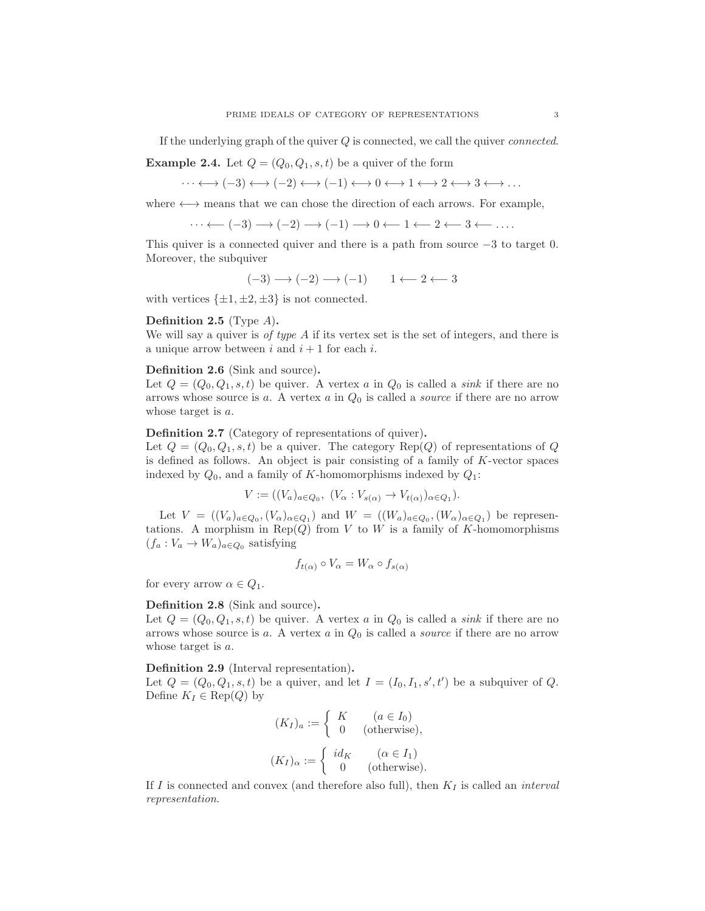If the underlying graph of the quiver  $Q$  is connected, we call the quiver *connected*.

**Example 2.4.** Let  $Q = (Q_0, Q_1, s, t)$  be a quiver of the form

 $\cdots \longleftrightarrow (-3) \longleftrightarrow (-2) \longleftrightarrow (-1) \longleftrightarrow 0 \longleftrightarrow 1 \longleftrightarrow 2 \longleftrightarrow 3 \longleftrightarrow \ldots$ 

where  $\longleftrightarrow$  means that we can chose the direction of each arrows. For example,

$$
\cdots \leftarrow (-3) \longrightarrow (-2) \longrightarrow (-1) \longrightarrow 0 \leftarrow 1 \leftarrow 2 \leftarrow 3 \leftarrow \dots
$$

This quiver is a connected quiver and there is a path from source  $-3$  to target 0. Moreover, the subquiver

$$
(-3) \longrightarrow (-2) \longrightarrow (-1) \qquad 1 \longleftarrow 2 \longleftarrow 3
$$

with vertices  $\{\pm 1, \pm 2, \pm 3\}$  is not connected.

## Definition 2.5 (Type  $A$ ).

We will say a quiver is *of type A* if its vertex set is the set of integers, and there is a unique arrow between i and  $i + 1$  for each i.

#### Definition 2.6 (Sink and source).

Let  $Q = (Q_0, Q_1, s, t)$  be quiver. A vertex a in  $Q_0$  is called a *sink* if there are no arrows whose source is a. A vertex  $a$  in  $Q_0$  is called a *source* if there are no arrow whose target is  $a$ .

Definition 2.7 (Category of representations of quiver).

Let  $Q = (Q_0, Q_1, s, t)$  be a quiver. The category Rep(Q) of representations of Q is defined as follows. An object is pair consisting of a family of K-vector spaces indexed by  $Q_0$ , and a family of K-homomorphisms indexed by  $Q_1$ :

$$
V := ((V_a)_{a \in Q_0}, (V_\alpha : V_{s(\alpha)} \to V_{t(\alpha)})_{\alpha \in Q_1}).
$$

Let  $V = ((V_a)_{a \in Q_0}, (V_\alpha)_{\alpha \in Q_1})$  and  $W = ((W_a)_{a \in Q_0}, (W_\alpha)_{\alpha \in Q_1})$  be representations. A morphism in Rep( $Q$ ) from  $V$  to  $W$  is a family of  $K$ -homomorphisms  $(f_a: V_a \to W_a)_{a \in Q_0}$  satisfying

$$
f_{t(\alpha)} \circ V_{\alpha} = W_{\alpha} \circ f_{s(\alpha)}
$$

for every arrow  $\alpha \in Q_1$ .

## Definition 2.8 (Sink and source).

Let  $Q = (Q_0, Q_1, s, t)$  be quiver. A vertex a in  $Q_0$  is called a *sink* if there are no arrows whose source is a. A vertex a in  $Q_0$  is called a *source* if there are no arrow whose target is a.

## Definition 2.9 (Interval representation).

Let  $Q = (Q_0, Q_1, s, t)$  be a quiver, and let  $I = (I_0, I_1, s', t')$  be a subquiver of Q. Define  $K_I \in \text{Rep}(Q)$  by

$$
(K_I)_a := \begin{cases} K & (a \in I_0) \\ 0 & (\text{otherwise}), \end{cases}
$$

$$
(K_I)_\alpha := \begin{cases} id_K & (\alpha \in I_1) \\ 0 & (\text{otherwise}). \end{cases}
$$

If I is connected and convex (and therefore also full), then  $K_I$  is called an *interval* representation.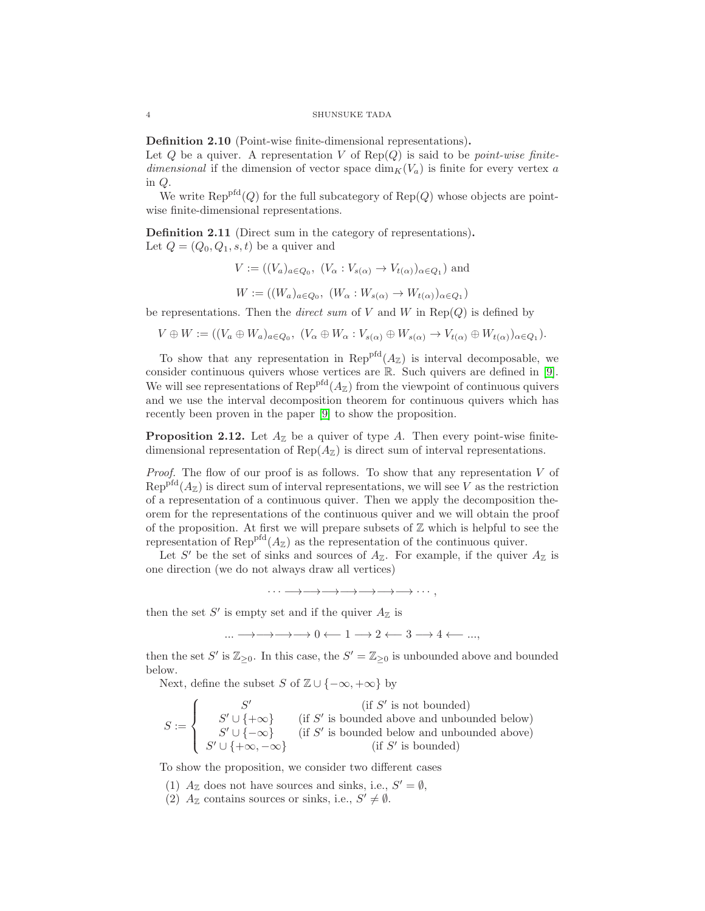<span id="page-3-0"></span>Definition 2.10 (Point-wise finite-dimensional representations).

Let Q be a quiver. A representation V of  $\text{Rep}(Q)$  is said to be *point-wise finite*dimensional if the dimension of vector space  $\dim_K(V_a)$  is finite for every vertex a in Q.

We write  $\text{Rep}^{\text{pfd}}(Q)$  for the full subcategory of  $\text{Rep}(Q)$  whose objects are pointwise finite-dimensional representations.

Definition 2.11 (Direct sum in the category of representations). Let  $Q = (Q_0, Q_1, s, t)$  be a quiver and

$$
V := ((V_a)_{a \in Q_0}, (V_\alpha : V_{s(\alpha)} \to V_{t(\alpha)})_{\alpha \in Q_1})
$$
 and

$$
W := ((W_a)_{a \in Q_0}, (W_\alpha : W_{s(\alpha)} \to W_{t(\alpha)})_{\alpha \in Q_1})
$$

be representations. Then the *direct sum* of V and W in  $\text{Rep}(Q)$  is defined by

$$
V \oplus W := ((V_a \oplus W_a)_{a \in Q_0}, (V_\alpha \oplus W_\alpha : V_{s(\alpha)} \oplus W_{s(\alpha)} \to V_{t(\alpha)} \oplus W_{t(\alpha)})_{\alpha \in Q_1}).
$$

To show that any representation in  $\text{Rep}^{\text{pfd}}(A_{\mathbb{Z}})$  is interval decomposable, we consider continuous quivers whose vertices are R. Such quivers are defined in [\[9\]](#page-25-8). We will see representations of  $\text{Rep}^{\text{pfd}}(A_{\mathbb{Z}})$  from the viewpoint of continuous quivers and we use the interval decomposition theorem for continuous quivers which has recently been proven in the paper [\[9\]](#page-25-8) to show the proposition.

<span id="page-3-3"></span>**Proposition 2.12.** Let  $A_{\mathbb{Z}}$  be a quiver of type A. Then every point-wise finitedimensional representation of  $\text{Rep}(A_{\mathbb{Z}})$  is direct sum of interval representations.

*Proof.* The flow of our proof is as follows. To show that any representation  $V$  of  $\text{Rep}^{\text{pfd}}(A_{\mathbb{Z}})$  is direct sum of interval representations, we will see V as the restriction of a representation of a continuous quiver. Then we apply the decomposition theorem for the representations of the continuous quiver and we will obtain the proof of the proposition. At first we will prepare subsets of  $\mathbb Z$  which is helpful to see the representation of Rep<sup>pfd</sup> $(A_{\mathbb{Z}})$  as the representation of the continuous quiver.

Let S' be the set of sinks and sources of  $A_{\mathbb{Z}}$ . For example, if the quiver  $A_{\mathbb{Z}}$  is one direction (we do not always draw all vertices)

 $\cdots \longrightarrow \longrightarrow \longrightarrow \longrightarrow \longrightarrow \longrightarrow \longrightarrow \cdots .$ 

then the set S' is empty set and if the quiver  $A_{\mathbb{Z}}$  is

 $\ldots \longrightarrow \longrightarrow \longrightarrow 0 \longleftarrow 1 \longrightarrow 2 \longleftarrow 3 \longrightarrow 4 \longleftarrow \ldots$ 

then the set S' is  $\mathbb{Z}_{\geq 0}$ . In this case, the  $S' = \mathbb{Z}_{\geq 0}$  is unbounded above and bounded below.

Next, define the subset S of  $\mathbb{Z} \cup \{-\infty, +\infty\}$  by

$$
S := \left\{ \begin{array}{cl} S' & (\text{if } S' \text{ is not bounded}) \\ S' \cup \{ + \infty \} & (\text{if } S' \text{ is bounded above and unbounded below}) \\ S' \cup \{ - \infty \} & (\text{if } S' \text{ is bounded below and unbounded above}) \\ S' \cup \{ + \infty, - \infty \} & (\text{if } S' \text{ is bounded}) \end{array} \right.
$$

<span id="page-3-1"></span>To show the proposition, we consider two different cases

- <span id="page-3-2"></span>(1)  $A_{\mathbb{Z}}$  does not have sources and sinks, i.e.,  $S' = \emptyset$ ,
- (2)  $A_{\mathbb{Z}}$  contains sources or sinks, i.e.,  $S' \neq \emptyset$ .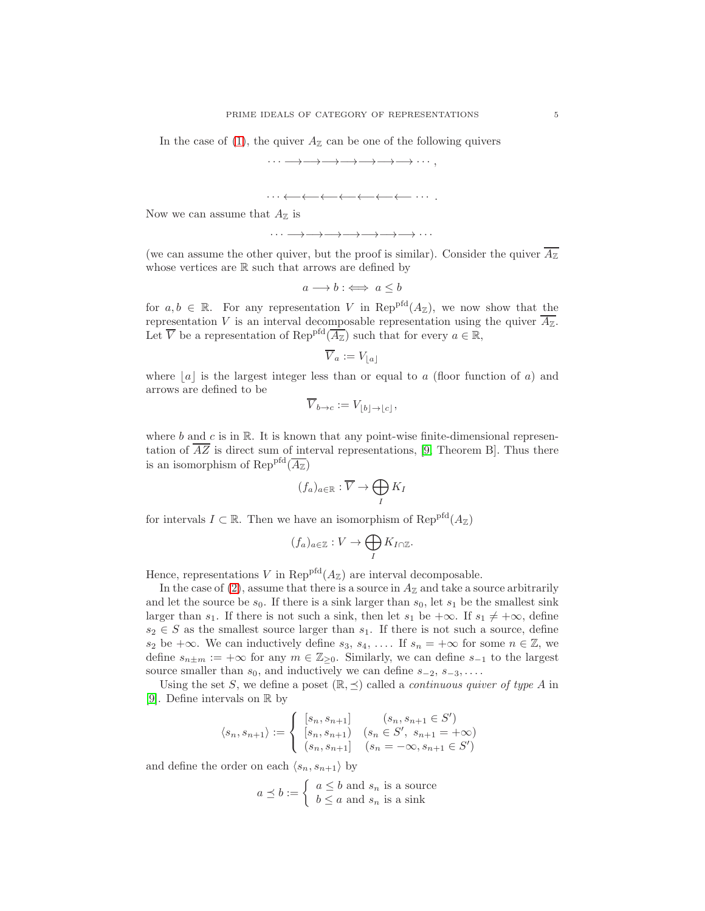In the case of [\(1\)](#page-3-1), the quiver  $A_{\mathbb{Z}}$  can be one of the following quivers

 $\cdots \longrightarrow \longrightarrow \longrightarrow \longrightarrow \longrightarrow \longrightarrow \longrightarrow \cdots,$ 

$$
\cdots \longleftarrow \longleftarrow \longleftarrow \longleftarrow \longleftarrow \longleftarrow \longleftarrow \longleftarrow \cdots.
$$

Now we can assume that  $A_{\mathbb{Z}}$  is

 $\cdots \longrightarrow \longrightarrow \longrightarrow \longrightarrow \longrightarrow \longrightarrow \longrightarrow \cdots$ 

(we can assume the other quiver, but the proof is similar). Consider the quiver  $\overline{A_{\mathbb{Z}}}$ whose vertices are R such that arrows are defined by

$$
a \longrightarrow b : \iff a \leq b
$$

for  $a, b \in \mathbb{R}$ . For any representation V in Rep<sup>pfd</sup> $(A_{\mathbb{Z}})$ , we now show that the representation V is an interval decomposable representation using the quiver  $\overline{A_{\mathbb{Z}}}$ . Let  $\overline{V}$  be a representation of Rep<sup>pfd</sup> $(\overline{A_{\mathbb{Z}}})$  such that for every  $a \in \mathbb{R}$ ,

$$
\overline{V}_a:=V_{\lfloor a\rfloor}
$$

where  $|a|$  is the largest integer less than or equal to a (floor function of a) and arrows are defined to be

$$
V_{b\to c} := V_{\lfloor b\rfloor \to \lfloor c\rfloor},
$$

where  $b$  and  $c$  is in  $\mathbb R$ . It is known that any point-wise finite-dimensional representation of  $\overline{AZ}$  is direct sum of interval representations, [\[9,](#page-25-8) Theorem B]. Thus there is an isomorphism of Rep<sup>pfd</sup> $(\overline{A_{\mathbb{Z}}})$ 

$$
(f_a)_{a \in \mathbb{R}} : \overline{V} \to \bigoplus_I K_I
$$

for intervals  $I \subset \mathbb{R}$ . Then we have an isomorphism of  $\text{Rep}^{\text{pfd}}(A_{\mathbb{Z}})$ 

$$
(f_a)_{a\in\mathbb{Z}}: V\to \bigoplus_I K_{I\cap\mathbb{Z}}.
$$

Hence, representations V in Rep<sup>pfd</sup> $(A_{\mathbb{Z}})$  are interval decomposable.

In the case of [\(2\)](#page-3-2), assume that there is a source in  $A_{\mathbb{Z}}$  and take a source arbitrarily and let the source be  $s_0$ . If there is a sink larger than  $s_0$ , let  $s_1$  be the smallest sink larger than  $s_1$ . If there is not such a sink, then let  $s_1$  be  $+\infty$ . If  $s_1 \neq +\infty$ , define  $s_2 \in S$  as the smallest source larger than  $s_1$ . If there is not such a source, define s<sub>2</sub> be +∞. We can inductively define s<sub>3</sub>, s<sub>4</sub>, .... If s<sub>n</sub> = +∞ for some  $n \in \mathbb{Z}$ , we define  $s_{n\pm m} := +\infty$  for any  $m \in \mathbb{Z}_{\geq 0}$ . Similarly, we can define  $s_{-1}$  to the largest source smaller than  $s_0$ , and inductively we can define  $s_{-2}, s_{-3}, \ldots$ .

Using the set S, we define a poset  $(\mathbb{R}, \preceq)$  called a *continuous quiver of type A* in [\[9\]](#page-25-8). Define intervals on R by

$$
\langle s_n, s_{n+1} \rangle := \begin{cases} [s_n, s_{n+1}] & (s_n, s_{n+1} \in S') \\ [s_n, s_{n+1}] & (s_n \in S', s_{n+1} = +\infty) \\ (s_n, s_{n+1}] & (s_n = -\infty, s_{n+1} \in S') \end{cases}
$$

and define the order on each  $\langle s_n, s_{n+1} \rangle$  by

$$
a \preceq b := \begin{cases} a \le b \text{ and } s_n \text{ is a source} \\ b \le a \text{ and } s_n \text{ is a sink} \end{cases}
$$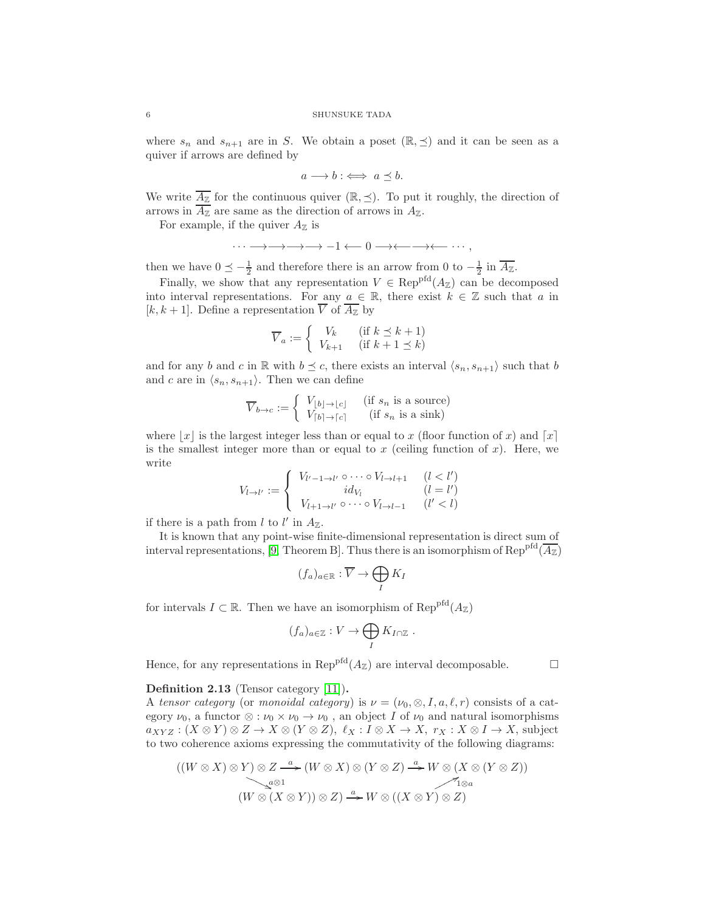where  $s_n$  and  $s_{n+1}$  are in S. We obtain a poset  $(\mathbb{R}, \preceq)$  and it can be seen as a quiver if arrows are defined by

$$
a \longrightarrow b : \iff a \preceq b.
$$

We write  $A_{\mathbb{Z}}$  for the continuous quiver  $(\mathbb{R}, \preceq)$ . To put it roughly, the direction of arrows in  $A_{\mathbb{Z}}$  are same as the direction of arrows in  $A_{\mathbb{Z}}$ .

For example, if the quiver  $A_{\mathbb{Z}}$  is

$$
\cdots \longrightarrow \longrightarrow \longrightarrow -1 \longleftarrow 0 \longrightarrow \longleftarrow \longrightarrow \longleftarrow \cdots,
$$

then we have  $0 \leq -\frac{1}{2}$  and therefore there is an arrow from 0 to  $-\frac{1}{2}$  in  $\overline{A_{\mathbb{Z}}}.$ 

Finally, we show that any representation  $V \in \text{Rep}^{\text{pfd}}(A_{\mathbb{Z}})$  can be decomposed into interval representations. For any  $a \in \mathbb{R}$ , there exist  $k \in \mathbb{Z}$  such that a in [k, k + 1]. Define a representation  $\overline{V}$  of  $\overline{A_{\mathbb{Z}}}$  by

$$
\overline{V}_a := \begin{cases} V_k & \text{if } k \le k+1\\ V_{k+1} & \text{if } k+1 \le k \end{cases}
$$

and for any b and c in R with  $b \preceq c$ , there exists an interval  $\langle s_n, s_{n+1} \rangle$  such that b and c are in  $\langle s_n, s_{n+1} \rangle$ . Then we can define

$$
\overline{V}_{b \to c} := \begin{cases} V_{\lfloor b \rfloor \to \lfloor c \rfloor} & (\text{if } s_n \text{ is a source}) \\ V_{\lceil b \rceil \to \lceil c \rceil} & (\text{if } s_n \text{ is a sink}) \end{cases}
$$

where  $|x|$  is the largest integer less than or equal to x (floor function of x) and  $\lceil x \rceil$ is the smallest integer more than or equal to x (ceiling function of  $x$ ). Here, we write

$$
V_{l \to l'} := \begin{cases} V_{l'-1 \to l'} \circ \cdots \circ V_{l \to l+1} & (l < l') \\ id_{V_l} & (l = l') \\ V_{l+1 \to l'} \circ \cdots \circ V_{l \to l-1} & (l' < l) \end{cases}
$$

if there is a path from  $l$  to  $l'$  in  $A_{\mathbb{Z}}$ .

It is known that any point-wise finite-dimensional representation is direct sum of interval representations, [\[9,](#page-25-8) Theorem B]. Thus there is an isomorphism of Rep<sup>pfd</sup> $(\overline{A_{\mathbb{Z}}})$ 

$$
(f_a)_{a\in\mathbb{R}}:\overline{V}\to\bigoplus_I K_I
$$

for intervals  $I \subset \mathbb{R}$ . Then we have an isomorphism of  $\text{Rep}^{\text{pfd}}(A_{\mathbb{Z}})$ 

$$
(f_a)_{a\in\mathbb{Z}}: V \to \bigoplus_I K_{I\cap\mathbb{Z}}.
$$

Hence, for any representations in Rep<sup>pfd</sup> $(A_{\mathbb{Z}})$  are interval decomposable.

## Definition 2.13 (Tensor category [\[11\]](#page-25-9)).

A tensor category (or monoidal category) is  $\nu = (\nu_0, \otimes, I, a, \ell, r)$  consists of a category  $\nu_0$ , a functor  $\otimes : \nu_0 \times \nu_0 \to \nu_0$ , an object I of  $\nu_0$  and natural isomorphisms  $a_{XYZ} : (X \otimes Y) \otimes Z \to X \otimes (Y \otimes Z), \ell_X : I \otimes X \to X, r_X : X \otimes I \to X$ , subject to two coherence axioms expressing the commutativity of the following diagrams:

$$
((W \otimes X) \otimes Y) \otimes Z \xrightarrow{a} (W \otimes X) \otimes (Y \otimes Z) \xrightarrow{a} W \otimes (X \otimes (Y \otimes Z))
$$
  
\n
$$
(W \otimes (X \otimes Y)) \otimes Z) \xrightarrow{a} W \otimes ((X \otimes Y) \otimes Z)
$$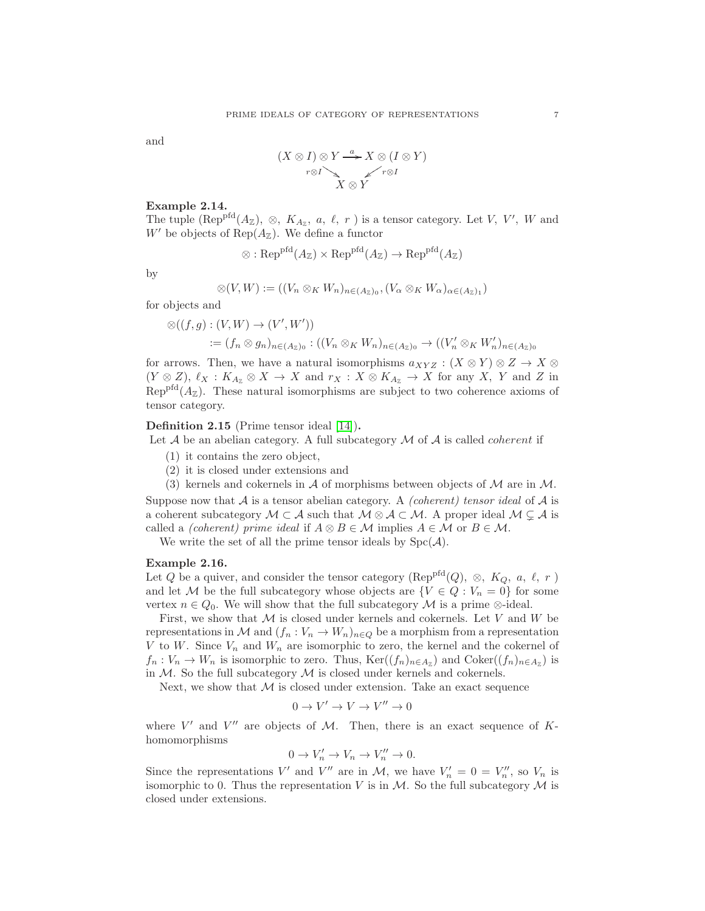and

$$
(X \otimes I) \otimes Y \xrightarrow{a} X \otimes (I \otimes Y)
$$
  

$$
r \otimes I \searrow Y
$$
  

$$
X \otimes Y
$$

#### Example 2.14.

The tuple (Rep<sup>pfd</sup>( $A_{\mathbb{Z}}$ ),  $\otimes$ ,  $K_{A_{\mathbb{Z}}}$ ,  $a$ ,  $\ell$ ,  $r$ ) is a tensor category. Let V, V', W and W' be objects of Rep $(A_{\mathbb{Z}})$ . We define a functor

$$
\otimes : \mathrm{Rep}^{\mathrm{pfd}}(A_{\mathbb{Z}}) \times \mathrm{Rep}^{\mathrm{pfd}}(A_{\mathbb{Z}}) \to \mathrm{Rep}^{\mathrm{pfd}}(A_{\mathbb{Z}})
$$

by

$$
\otimes (V, W) := ((V_n \otimes_K W_n)_{n \in (A_{\mathbb{Z}})_0}, (V_\alpha \otimes_K W_\alpha)_{\alpha \in (A_{\mathbb{Z}})_1})
$$

for objects and

$$
\begin{aligned} \otimes ((f,g) : (V,W) \to (V',W')) \\ &:= (f_n \otimes g_n)_{n \in (A_{\mathbb{Z}})_0} : ((V_n \otimes_K W_n)_{n \in (A_{\mathbb{Z}})_0} \to ((V'_n \otimes_K W'_n)_{n \in (A_{\mathbb{Z}})_0}) \end{aligned}
$$

for arrows. Then, we have a natural isomorphisms  $a_{XYZ} : (X \otimes Y) \otimes Z \to X \otimes$  $(Y \otimes Z)$ ,  $\ell_X : K_{A_Z} \otimes X \to X$  and  $r_X : X \otimes K_{A_Z} \to X$  for any X, Y and Z in Rep<sup>pfd</sup> $(A_{\mathbb{Z}})$ . These natural isomorphisms are subject to two coherence axioms of tensor category.

### <span id="page-6-0"></span>Definition 2.15 (Prime tensor ideal [\[14\]](#page-25-5)).

Let  $A$  be an abelian category. A full subcategory  $M$  of  $A$  is called *coherent* if

- (1) it contains the zero object,
- (2) it is closed under extensions and
- (3) kernels and cokernels in  $\mathcal A$  of morphisms between objects of  $\mathcal M$  are in  $\mathcal M$ .

Suppose now that  $A$  is a tensor abelian category. A *(coherent) tensor ideal* of  $A$  is a coherent subcategory  $M \subset A$  such that  $M \otimes A \subset M$ . A proper ideal  $M \subsetneq A$  is called a *(coherent)* prime ideal if  $A \otimes B \in \mathcal{M}$  implies  $A \in \mathcal{M}$  or  $B \in \mathcal{M}$ .

We write the set of all the prime tensor ideals by  $\text{Spc}(\mathcal{A})$ .

#### Example 2.16.

Let Q be a quiver, and consider the tensor category (Rep<sup>pfd</sup> $(Q)$ , ⊗,  $K_Q$ , a,  $\ell$ , r) and let M be the full subcategory whose objects are  $\{V \in Q : V_n = 0\}$  for some vertex  $n \in Q_0$ . We will show that the full subcategory M is a prime ⊗-ideal.

First, we show that  $M$  is closed under kernels and cokernels. Let  $V$  and  $W$  be representations in M and  $(f_n : V_n \to W_n)_{n \in Q}$  be a morphism from a representation V to W. Since  $V_n$  and  $W_n$  are isomorphic to zero, the kernel and the cokernel of  $f_n: V_n \to W_n$  is isomorphic to zero. Thus,  $\text{Ker}((f_n)_{n \in A_\mathbb{Z}})$  and  $\text{Coker}((f_n)_{n \in A_\mathbb{Z}})$  is in  $M$ . So the full subcategory  $M$  is closed under kernels and cokernels.

Next, we show that  $M$  is closed under extension. Take an exact sequence

$$
0\to V'\to V\to V''\to 0
$$

where  $V'$  and  $V''$  are objects of M. Then, there is an exact sequence of Khomomorphisms

$$
0 \to V'_n \to V_n \to V''_n \to 0.
$$

Since the representations V' and V'' are in M, we have  $V'_n = 0 = V''_n$ , so  $V_n$  is isomorphic to 0. Thus the representation V is in  $M$ . So the full subcategory  $M$  is closed under extensions.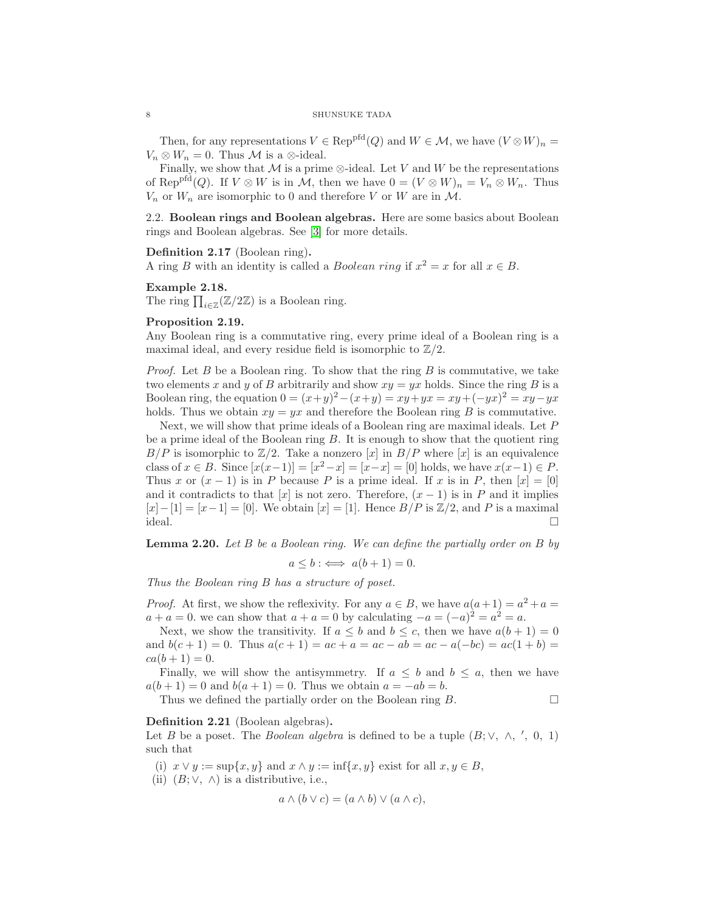Then, for any representations  $V \in \text{Rep}^{\text{pfd}}(Q)$  and  $W \in \mathcal{M}$ , we have  $(V \otimes W)_n =$  $V_n \otimes W_n = 0$ . Thus M is a  $\otimes$ -ideal.

Finally, we show that  $M$  is a prime  $\otimes$ -ideal. Let V and W be the representations of Rep<sup>pfd</sup>(Q). If  $V \otimes W$  is in M, then we have  $0 = (V \otimes W)_n = V_n \otimes W_n$ . Thus  $V_n$  or  $W_n$  are isomorphic to 0 and therefore V or W are in M.

2.2. Boolean rings and Boolean algebras. Here are some basics about Boolean rings and Boolean algebras. See [\[3\]](#page-25-10) for more details.

Definition 2.17 (Boolean ring).

A ring B with an identity is called a *Boolean ring* if  $x^2 = x$  for all  $x \in B$ .

Example 2.18.

The ring  $\prod_{i\in\mathbb{Z}}(\mathbb{Z}/2\mathbb{Z})$  is a Boolean ring.

### <span id="page-7-0"></span>Proposition 2.19.

Any Boolean ring is a commutative ring, every prime ideal of a Boolean ring is a maximal ideal, and every residue field is isomorphic to  $\mathbb{Z}/2$ .

*Proof.* Let B be a Boolean ring. To show that the ring B is commutative, we take two elements x and y of B arbitrarily and show  $xy = yx$  holds. Since the ring B is a Boolean ring, the equation  $0 = (x+y)^2 - (x+y) = xy + yx = xy + (-yx)^2 = xy - yx$ holds. Thus we obtain  $xy = yx$  and therefore the Boolean ring B is commutative.

Next, we will show that prime ideals of a Boolean ring are maximal ideals. Let P be a prime ideal of the Boolean ring  $B$ . It is enough to show that the quotient ring  $B/P$  is isomorphic to  $\mathbb{Z}/2$ . Take a nonzero  $[x]$  in  $B/P$  where  $[x]$  is an equivalence class of  $x \in B$ . Since  $[x(x-1)] = [x^2 - x] = [x-x] = [0]$  holds, we have  $x(x-1) \in P$ . Thus x or  $(x - 1)$  is in P because P is a prime ideal. If x is in P, then  $[x] = [0]$ and it contradicts to that [x] is not zero. Therefore,  $(x - 1)$  is in P and it implies  $[x]-[1]=[x-1]=[0]$ . We obtain  $[x]=[1]$ . Hence  $B/P$  is  $\mathbb{Z}/2$ , and P is a maximal ideal.  $\Box$ 

**Lemma 2.20.** Let  $B$  be a Boolean ring. We can define the partially order on  $B$  by

$$
a \le b : \iff a(b+1) = 0.
$$

Thus the Boolean ring B has a structure of poset.

*Proof.* At first, we show the reflexivity. For any  $a \in B$ , we have  $a(a+1) = a^2 + a =$  $a + a = 0$ , we can show that  $a + a = 0$  by calculating  $-a = (-a)^2 = a^2 = a$ .

Next, we show the transitivity. If  $a \leq b$  and  $b \leq c$ , then we have  $a(b+1) = 0$ and  $b(c + 1) = 0$ . Thus  $a(c + 1) = ac + a = ac - ab = ac - a(-bc) = ac(1 + b) =$  $ca(b+1) = 0.$ 

Finally, we will show the antisymmetry. If  $a \leq b$  and  $b \leq a$ , then we have  $a(b+1) = 0$  and  $b(a+1) = 0$ . Thus we obtain  $a = -ab = b$ .

Thus we defined the partially order on the Boolean ring  $B$ .

### Definition 2.21 (Boolean algebras).

Let B be a poset. The Boolean algebra is defined to be a tuple  $(B; \vee, \wedge, ', 0, 1)$ such that

(i)  $x \vee y := \sup\{x, y\}$  and  $x \wedge y := \inf\{x, y\}$  exist for all  $x, y \in B$ ,

(ii)  $(B; \vee, \wedge)$  is a distributive, i.e.,

$$
a \wedge (b \vee c) = (a \wedge b) \vee (a \wedge c),
$$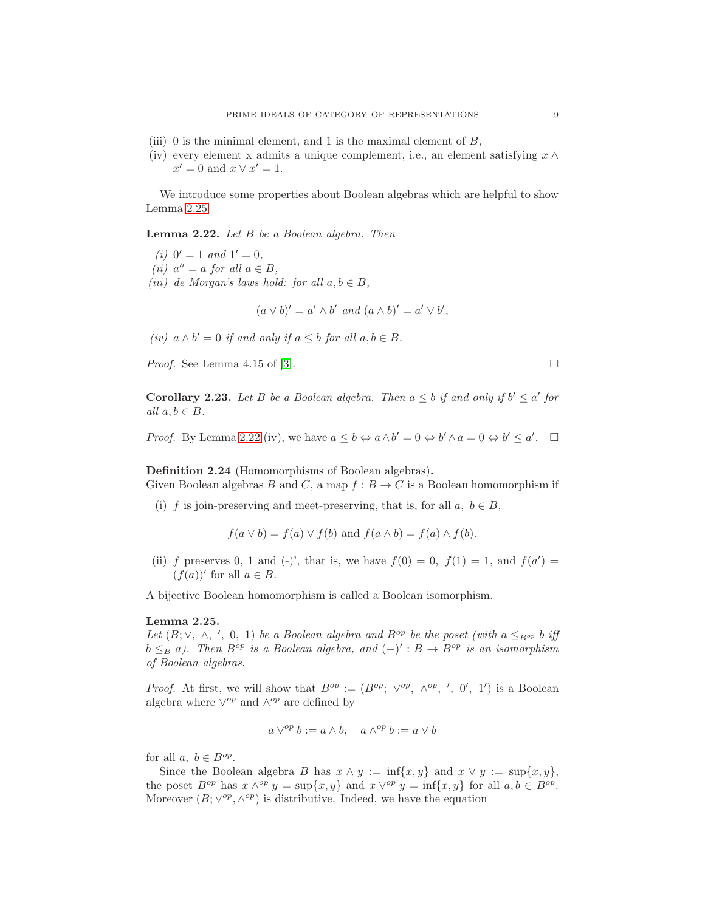- (iii) 0 is the minimal element, and 1 is the maximal element of  $B$ ,
- (iv) every element x admits a unique complement, i.e., an element satisfying  $x \wedge y$  $x' = 0$  and  $x \vee x' = 1$ .

We introduce some properties about Boolean algebras which are helpful to show Lemma [2.25.](#page-8-0)

<span id="page-8-1"></span>Lemma 2.22. Let B be a Boolean algebra. Then

- (*i*)  $0' = 1$  and  $1' = 0$ ,
- (ii)  $a'' = a$  for all  $a \in B$ ,
- (iii) de Morgan's laws hold: for all  $a, b \in B$ ,

$$
(a \vee b)' = a' \wedge b' \text{ and } (a \wedge b)' = a' \vee b',
$$

(iv)  $a \wedge b' = 0$  if and only if  $a \leq b$  for all  $a, b \in B$ .

*Proof.* See Lemma 4.15 of [\[3\]](#page-25-10).

**Corollary 2.23.** Let B be a Boolean algebra. Then  $a \leq b$  if and only if  $b' \leq a'$  for all  $a, b \in B$ .

*Proof.* By Lemma [2.22](#page-8-1) (iv), we have  $a \leq b \Leftrightarrow a \wedge b' = 0 \Leftrightarrow b' \wedge a = 0 \Leftrightarrow b' \leq a'$ .  $\Box$ 

Definition 2.24 (Homomorphisms of Boolean algebras).

Given Boolean algebras B and C, a map  $f : B \to C$  is a Boolean homomorphism if

(i) f is join-preserving and meet-preserving, that is, for all  $a, b \in B$ ,

$$
f(a \lor b) = f(a) \lor f(b) \text{ and } f(a \land b) = f(a) \land f(b).
$$

(ii) f preserves 0, 1 and (-)', that is, we have  $f(0) = 0$ ,  $f(1) = 1$ , and  $f(a') =$  $(f(a))'$  for all  $a \in B$ .

A bijective Boolean homomorphism is called a Boolean isomorphism.

#### <span id="page-8-0"></span>Lemma 2.25.

Let  $(B; \vee, \wedge, ', 0, 1)$  be a Boolean algebra and  $B^{op}$  be the poset (with  $a \leq_{B^{op}} b$  iff  $b \leq_B a$ ). Then  $B^{op}$  is a Boolean algebra, and  $(-)' : B \to B^{op}$  is an isomorphism of Boolean algebras.

*Proof.* At first, we will show that  $B^{op} := (B^{op}; \vee^{op}, \wedge^{op}, ', 0', 1')$  is a Boolean algebra where  $\vee^{op}$  and  $\wedge^{op}$  are defined by

$$
a\vee^{op} b := a\wedge b, \quad a\wedge^{op} b := a\vee b
$$

for all  $a, b \in B^{op}$ .

Since the Boolean algebra B has  $x \wedge y := \inf\{x, y\}$  and  $x \vee y := \sup\{x, y\}$ , the poset  $B^{op}$  has  $x \wedge^{op} y = \sup\{x, y\}$  and  $x \vee^{op} y = \inf\{x, y\}$  for all  $a, b \in B^{op}$ . Moreover  $(B; \vee^{op}, \wedge^{op})$  is distributive. Indeed, we have the equation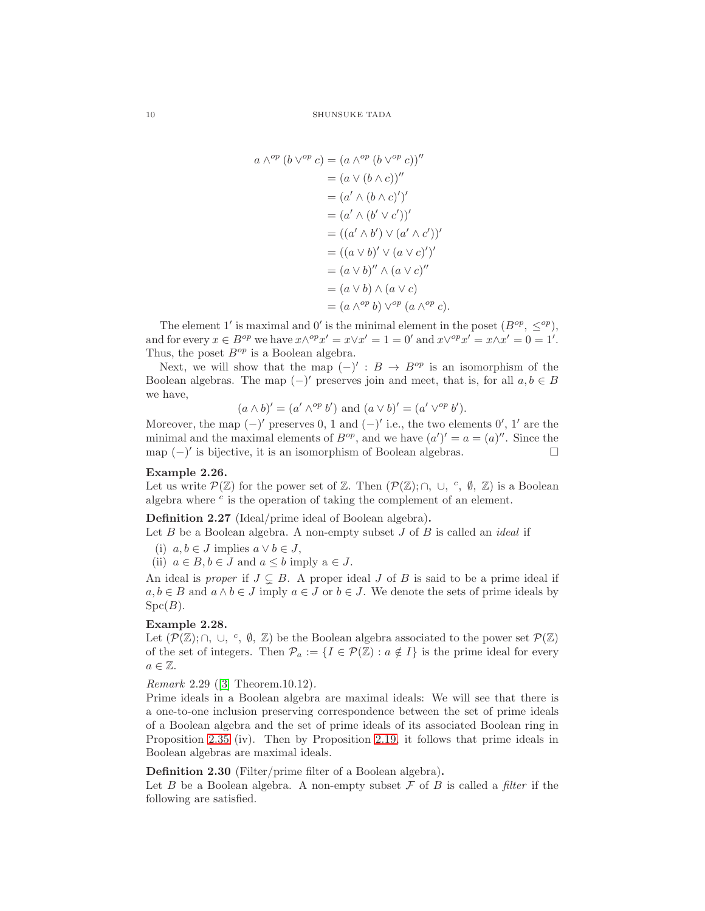$$
a \wedge^{op} (b \vee^{op} c) = (a \wedge^{op} (b \vee^{op} c))''
$$
  
=  $(a \vee (b \wedge c))''$   
=  $(a' \wedge (b \wedge c)')'$   
=  $(a' \wedge (b' \vee c'))'$   
=  $((a' \wedge b') \vee (a' \wedge c'))'$   
=  $((a \vee b)' \vee (a \vee c)')'$   
=  $(a \vee b)' \wedge (a \vee c)''$   
=  $(a \vee b) \wedge (a \vee c)$   
=  $(a \wedge^{op} b) \vee^{op} (a \wedge^{op} c)$ .

The element 1' is maximal and 0' is the minimal element in the poset  $(B^{op}, \leq^{op}),$ and for every  $x \in B^{op}$  we have  $x \wedge^{op} x' = x \vee x' = 1 = 0'$  and  $x \vee^{op} x' = x \wedge x' = 0 = 1'$ . Thus, the poset  $B^{op}$  is a Boolean algebra.

Next, we will show that the map  $(-)' : B \to B^{op}$  is an isomorphism of the Boolean algebras. The map  $(-)'$  preserves join and meet, that is, for all  $a, b \in B$ we have,

$$
(a \wedge b)' = (a' \wedge^{op} b') \text{ and } (a \vee b)' = (a' \vee^{op} b').
$$

Moreover, the map  $(-)'$  preserves 0, 1 and  $(-)'$  i.e., the two elements 0', 1' are the minimal and the maximal elements of  $B^{op}$ , and we have  $(a')' = a = (a)''$ . Since the map (−) ′ is bijective, it is an isomorphism of Boolean algebras.

#### Example 2.26.

Let us write  $\mathcal{P}(\mathbb{Z})$  for the power set of  $\mathbb{Z}$ . Then  $(\mathcal{P}(\mathbb{Z}); \cap, \cup, \ ^c, \emptyset, \ \mathbb{Z})$  is a Boolean algebra where  $c$  is the operation of taking the complement of an element.

Definition 2.27 (Ideal/prime ideal of Boolean algebra).

Let  $B$  be a Boolean algebra. A non-empty subset  $J$  of  $B$  is called an *ideal* if

(i)  $a, b \in J$  implies  $a \vee b \in J$ ,

(ii)  $a \in B$ ,  $b \in J$  and  $a \leq b$  imply  $a \in J$ .

An ideal is *proper* if  $J \subsetneq B$ . A proper ideal J of B is said to be a prime ideal if  $a, b \in B$  and  $a \wedge b \in J$  imply  $a \in J$  or  $b \in J$ . We denote the sets of prime ideals by  $Spec(B).$ 

#### Example 2.28.

Let  $(\mathcal{P}(\mathbb{Z}); \cap, \cup, {}^c, \emptyset, \mathbb{Z})$  be the Boolean algebra associated to the power set  $\mathcal{P}(\mathbb{Z})$ of the set of integers. Then  $\mathcal{P}_a := \{I \in \mathcal{P}(\mathbb{Z}) : a \notin I\}$  is the prime ideal for every  $a \in \mathbb{Z}$ .

Remark 2.29 ([\[3\]](#page-25-10) Theorem.10.12).

Prime ideals in a Boolean algebra are maximal ideals: We will see that there is a one-to-one inclusion preserving correspondence between the set of prime ideals of a Boolean algebra and the set of prime ideals of its associated Boolean ring in Proposition [2.35](#page-10-0) (iv). Then by Proposition [2.19,](#page-7-0) it follows that prime ideals in Boolean algebras are maximal ideals.

#### Definition 2.30 (Filter/prime filter of a Boolean algebra).

Let B be a Boolean algebra. A non-empty subset F of B is called a filter if the following are satisfied.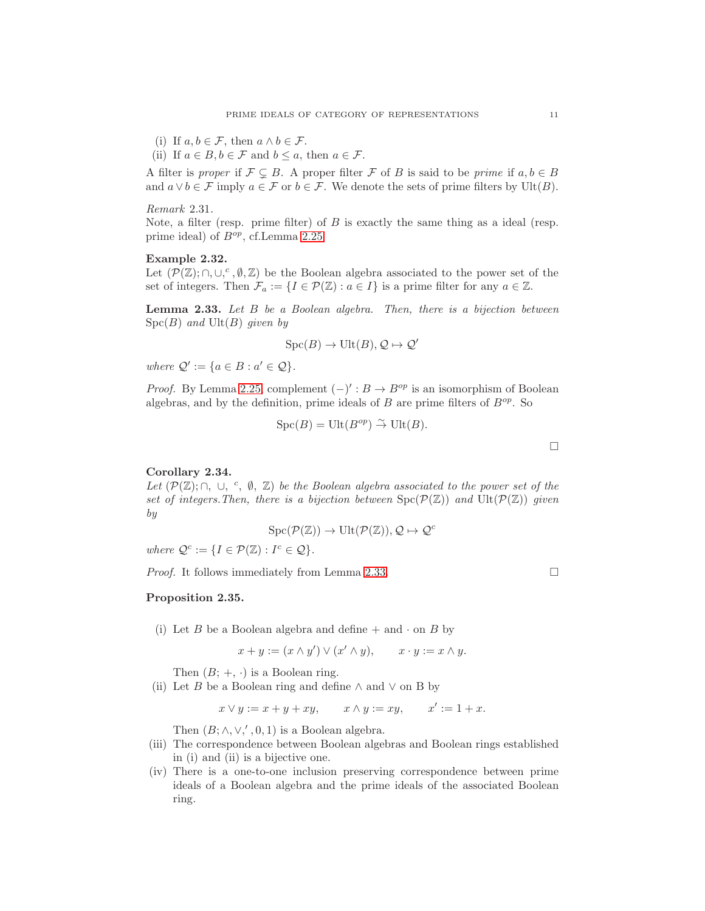(i) If  $a, b \in \mathcal{F}$ , then  $a \wedge b \in \mathcal{F}$ .

(ii) If  $a \in B$ ,  $b \in \mathcal{F}$  and  $b \leq a$ , then  $a \in \mathcal{F}$ .

A filter is proper if  $\mathcal{F} \subsetneq B$ . A proper filter F of B is said to be prime if  $a, b \in B$ and  $a \vee b \in \mathcal{F}$  imply  $a \in \mathcal{F}$  or  $b \in \mathcal{F}$ . We denote the sets of prime filters by Ult(B).

Remark 2.31.

Note, a filter (resp. prime filter) of  $B$  is exactly the same thing as a ideal (resp. prime ideal) of  $B^{op}$ , cf.Lemma [2.25.](#page-8-0)

#### Example 2.32.

Let  $(\mathcal{P}(\mathbb{Z}); \cap, \cup,^c, \emptyset, \mathbb{Z})$  be the Boolean algebra associated to the power set of the set of integers. Then  $\mathcal{F}_a := \{I \in \mathcal{P}(\mathbb{Z}) : a \in I\}$  is a prime filter for any  $a \in \mathbb{Z}$ .

<span id="page-10-1"></span>**Lemma 2.33.** Let  $B$  be a Boolean algebra. Then, there is a bijection between  $Spc(B)$  and  $Ult(B)$  given by

$$
Spc(B) \to \text{Ult}(B), \mathcal{Q} \mapsto \mathcal{Q}'
$$

where  $\mathcal{Q}' := \{a \in B : a' \in \mathcal{Q}\}.$ 

*Proof.* By Lemma [2.25,](#page-8-0) complement  $(-)' : B \to B^{op}$  is an isomorphism of Boolean algebras, and by the definition, prime ideals of  $B$  are prime filters of  $B^{op}$ . So

$$
Spc(B) = \text{Ult}(B^{op}) \stackrel{\sim}{\to} \text{Ult}(B).
$$

#### <span id="page-10-2"></span>Corollary 2.34.

Let  $(\mathcal{P}(\mathbb{Z}); \cap, \cup, {}^c, \emptyset, \mathbb{Z})$  be the Boolean algebra associated to the power set of the set of integers. Then, there is a bijection between  $\text{Spc}(\mathcal{P}(\mathbb{Z}))$  and  $\text{Ult}(\mathcal{P}(\mathbb{Z}))$  given by

$$
Spc(\mathcal{P}(\mathbb{Z})) \to \text{Ult}(\mathcal{P}(\mathbb{Z})), \mathcal{Q} \mapsto \mathcal{Q}^c
$$

where  $\mathcal{Q}^c := \{I \in \mathcal{P}(\mathbb{Z}) : I^c \in \mathcal{Q}\}.$ 

*Proof.* It follows immediately from Lemma [2.33.](#page-10-1)

#### <span id="page-10-0"></span>Proposition 2.35.

(i) Let B be a Boolean algebra and define  $+$  and  $\cdot$  on B by

$$
x + y := (x \wedge y') \vee (x' \wedge y), \qquad x \cdot y := x \wedge y.
$$

Then  $(B; +, \cdot)$  is a Boolean ring.

(ii) Let B be a Boolean ring and define  $\wedge$  and  $\vee$  on B by

$$
x \lor y := x + y + xy, \qquad x \land y := xy, \qquad x' := 1 + x.
$$

Then  $(B; \wedge, \vee, ', 0, 1)$  is a Boolean algebra.

- (iii) The correspondence between Boolean algebras and Boolean rings established in (i) and (ii) is a bijective one.
- (iv) There is a one-to-one inclusion preserving correspondence between prime ideals of a Boolean algebra and the prime ideals of the associated Boolean ring.

 $\Box$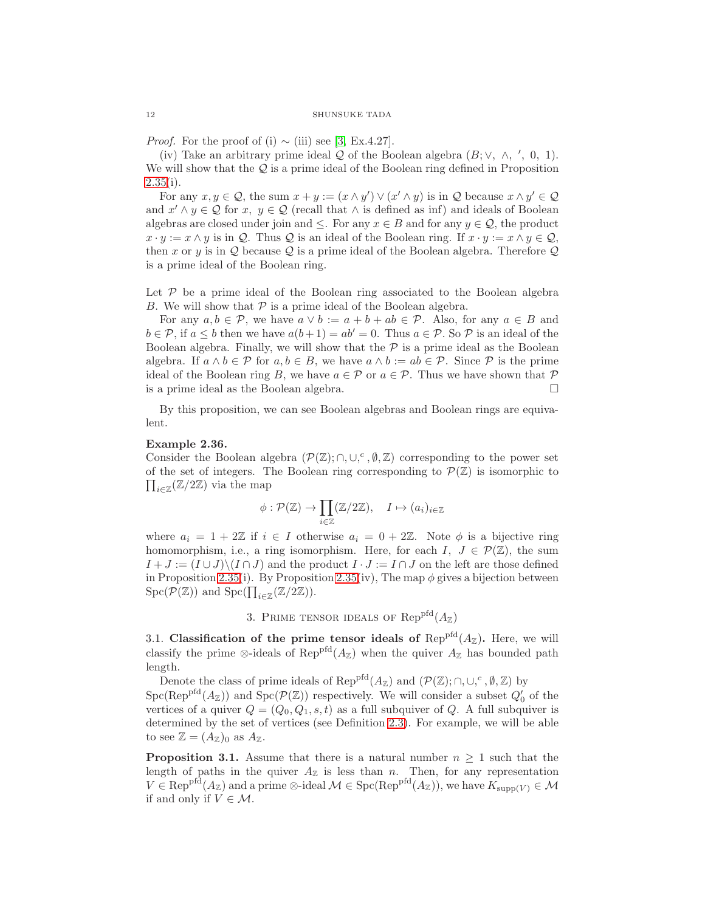*Proof.* For the proof of (i)  $\sim$  (iii) see [\[3,](#page-25-10) Ex.4.27].

(iv) Take an arbitrary prime ideal  $Q$  of the Boolean algebra  $(B; \vee, \wedge, ', 0, 1)$ . We will show that the  $Q$  is a prime ideal of the Boolean ring defined in Proposition  $2.35(i)$  $2.35(i)$ .

For any  $x, y \in \mathcal{Q}$ , the sum  $x + y := (x \wedge y') \vee (x' \wedge y)$  is in  $\mathcal{Q}$  because  $x \wedge y' \in \mathcal{Q}$ and  $x' \wedge y \in \mathcal{Q}$  for  $x, y \in \mathcal{Q}$  (recall that  $\wedge$  is defined as inf) and ideals of Boolean algebras are closed under join and  $\leq$ . For any  $x \in B$  and for any  $y \in \mathcal{Q}$ , the product  $x \cdot y := x \wedge y$  is in Q. Thus Q is an ideal of the Boolean ring. If  $x \cdot y := x \wedge y \in Q$ , then x or y is in  $\mathcal Q$  because  $\mathcal Q$  is a prime ideal of the Boolean algebra. Therefore  $\mathcal Q$ is a prime ideal of the Boolean ring.

Let  $P$  be a prime ideal of the Boolean ring associated to the Boolean algebra B. We will show that  $P$  is a prime ideal of the Boolean algebra.

For any  $a, b \in \mathcal{P}$ , we have  $a \vee b := a + b + ab \in \mathcal{P}$ . Also, for any  $a \in B$  and  $b \in \mathcal{P}$ , if  $a \leq b$  then we have  $a(b+1) = ab' = 0$ . Thus  $a \in \mathcal{P}$ . So  $\mathcal{P}$  is an ideal of the Boolean algebra. Finally, we will show that the  $P$  is a prime ideal as the Boolean algebra. If  $a \wedge b \in \mathcal{P}$  for  $a, b \in B$ , we have  $a \wedge b := ab \in \mathcal{P}$ . Since  $\mathcal{P}$  is the prime ideal of the Boolean ring B, we have  $a \in \mathcal{P}$  or  $a \in \mathcal{P}$ . Thus we have shown that  $\mathcal P$ is a prime ideal as the Boolean algebra.

By this proposition, we can see Boolean algebras and Boolean rings are equivalent.

# <span id="page-11-2"></span>Example 2.36.

Consider the Boolean algebra  $(\mathcal{P}(\mathbb{Z}); \cap, \cup,^c, \emptyset, \mathbb{Z})$  corresponding to the power set of the set of integers. The Boolean ring corresponding to  $\mathcal{P}(\mathbb{Z})$  is isomorphic to  $\prod_{i\in\mathbb{Z}}(\mathbb{Z}/2\mathbb{Z})$  via the map

$$
\phi: \mathcal{P}(\mathbb{Z}) \to \prod_{i \in \mathbb{Z}} (\mathbb{Z}/2\mathbb{Z}), \quad I \mapsto (a_i)_{i \in \mathbb{Z}}
$$

where  $a_i = 1 + 2\mathbb{Z}$  if  $i \in I$  otherwise  $a_i = 0 + 2\mathbb{Z}$ . Note  $\phi$  is a bijective ring homomorphism, i.e., a ring isomorphism. Here, for each  $I, J \in \mathcal{P}(\mathbb{Z})$ , the sum  $I + J := (I \cup J) \setminus (I \cap J)$  and the product  $I \cdot J := I \cap J$  on the left are those defined in Proposition [2.35\(](#page-10-0)i). By Proposition 2.35(iv), The map  $\phi$  gives a bijection between  $\mathrm{Spc}(\mathcal{P}(\mathbb{Z}))$  and  $\mathrm{Spc}(\prod_{i\in\mathbb{Z}}(\mathbb{Z}/2\mathbb{Z}))$ .

3. PRIME TENSOR IDEALS OF  $\text{Rep}^{\text{pfd}}(A_{\mathbb{Z}})$ 

<span id="page-11-0"></span>3.1. Classification of the prime tensor ideals of  $\text{Rep}^{\text{pfd}}(A_{\mathbb{Z}})$ . Here, we will classify the prime ⊗-ideals of Rep<sup>pfd</sup>( $A_{\mathbb{Z}}$ ) when the quiver  $A_{\mathbb{Z}}$  has bounded path length.

Denote the class of prime ideals of Rep<sup>pfd</sup> $(A_{\mathbb{Z}})$  and  $(\mathcal{P}(\mathbb{Z}); \cap, \cup,^c, \emptyset, \mathbb{Z})$  by

 $\text{Spc}(\text{Rep}^{\text{pfd}}(A_{\mathbb{Z}}))$  and  $\text{Spc}(\mathcal{P}(\mathbb{Z}))$  respectively. We will consider a subset  $Q'_0$  of the vertices of a quiver  $Q = (Q_0, Q_1, s, t)$  as a full subquiver of Q. A full subquiver is determined by the set of vertices (see Definition [2.3\)](#page-1-1). For example, we will be able to see  $\mathbb{Z} = (A_{\mathbb{Z}})_0$  as  $A_{\mathbb{Z}}$ .

<span id="page-11-1"></span>**Proposition 3.1.** Assume that there is a natural number  $n \geq 1$  such that the length of paths in the quiver  $A_{\mathbb{Z}}$  is less than n. Then, for any representation  $V \in \text{Rep}^{\text{pfd}}(A_{\mathbb{Z}})$  and a prime  $\otimes$ -ideal  $\mathcal{M} \in \text{Spc}(\text{Rep}^{\text{pfd}}(A_{\mathbb{Z}})),$  we have  $K_{\text{supp}(V)} \in \mathcal{M}$ if and only if  $V \in \mathcal{M}$ .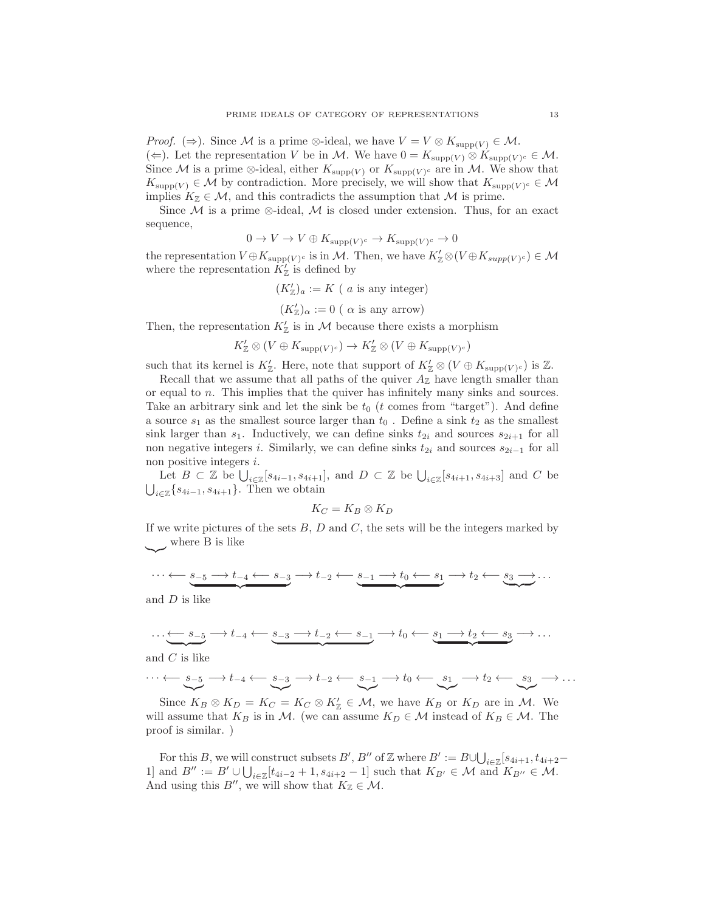*Proof.* ( $\Rightarrow$ ). Since M is a prime ⊗-ideal, we have  $V = V \otimes K_{\text{supp}(V)} \in \mathcal{M}$ . (←). Let the representation V be in M. We have  $0 = K_{\text{supp}(V)} \otimes K_{\text{supp}(V)^c} \in \mathcal{M}$ . Since M is a prime ⊗-ideal, either  $K_{\text{supp}(V)}$  or  $K_{\text{supp}(V)^c}$  are in M. We show that  $K_{\text{supp}(V)} \in \mathcal{M}$  by contradiction. More precisely, we will show that  $K_{\text{supp}(V)^c} \in \mathcal{M}$ implies  $K_{\mathbb{Z}} \in \mathcal{M}$ , and this contradicts the assumption that M is prime.

Since  $M$  is a prime  $\otimes$ -ideal,  $M$  is closed under extension. Thus, for an exact sequence,

$$
0 \to V \to V \oplus K_{\text{supp}(V)^c} \to K_{\text{supp}(V)^c} \to 0
$$

the representation  $V \oplus K_{\text{supp}(V)^c}$  is in M. Then, we have  $K'_\mathbb{Z} \otimes (V \oplus K_{\text{supp}(V)^c}) \in \mathcal{M}$ where the representation  $\tilde{K}^{\prime}_{\mathbb{Z}}$  is defined by

$$
(K'_{\mathbb{Z}})_a := K~(~a~\text{is any integer})
$$

$$
(K'_{\mathbb{Z}})_{\alpha} := 0 \ (\alpha \text{ is any arrow})
$$

Then, the representation  $K'_{\mathbb{Z}}$  is in M because there exists a morphism

$$
K'_{\mathbb{Z}} \otimes (V \oplus K_{\text{supp}(V)^c}) \to K'_{\mathbb{Z}} \otimes (V \oplus K_{\text{supp}(V)^c})
$$

such that its kernel is  $K'_{\mathbb{Z}}$ . Here, note that support of  $K'_{\mathbb{Z}} \otimes (V \oplus K_{\text{supp}(V)^c})$  is  $\mathbb{Z}$ .

Recall that we assume that all paths of the quiver  $A_{\mathbb{Z}}$  have length smaller than or equal to n. This implies that the quiver has infinitely many sinks and sources. Take an arbitrary sink and let the sink be  $t_0$  (t comes from "target"). And define a source  $s_1$  as the smallest source larger than  $t_0$ . Define a sink  $t_2$  as the smallest sink larger than  $s_1$ . Inductively, we can define sinks  $t_{2i}$  and sources  $s_{2i+1}$  for all non negative integers *i*. Similarly, we can define sinks  $t_{2i}$  and sources  $s_{2i-1}$  for all non positive integers i.

Let  $B \subset \mathbb{Z}$  be  $\bigcup_{i \in \mathbb{Z}} [s_{4i-1}, s_{4i+1}],$  and  $D \subset \mathbb{Z}$  be  $\bigcup_{i \in \mathbb{Z}} [s_{4i+1}, s_{4i+3}]$  and C be  $\bigcup_{i\in\mathbb{Z}}\{s_{4i-1},s_{4i+1}\}$ . Then we obtain

$$
K_C=K_B\otimes K_D
$$

If we write pictures of the sets  $B, D$  and  $C$ , the sets will be the integers marked by where B is like

$$
\cdots \longleftarrow s_{-5} \longrightarrow t_{-4} \longleftarrow s_{-3} \longrightarrow t_{-2} \longleftarrow s_{-1} \longrightarrow t_0 \longleftarrow s_1 \longrightarrow t_2 \longleftarrow s_3 \longrightarrow \cdots
$$

and D is like

 $\sim$ 

$$
\cdots \underbrace{\leftarrow s_{-5}} \longrightarrow t_{-4} \longleftarrow \underbrace{s_{-3} \longrightarrow t_{-2} \longleftarrow s_{-1}} \longrightarrow t_0 \longleftarrow \underbrace{s_1 \longrightarrow t_2 \longleftarrow s_3} \longrightarrow \cdots
$$

and  $C$  is like

$$
\cdots \longleftarrow s_{-5} \longrightarrow t_{-4} \longleftarrow s_{-3} \longrightarrow t_{-2} \longleftarrow s_{-1} \longrightarrow t_0 \longleftarrow s_1 \longrightarrow t_2 \longleftarrow s_3 \longrightarrow \cdots
$$

Since  $K_B \otimes K_D = K_C = K_C \otimes K'_{\mathbb{Z}} \in \mathcal{M}$ , we have  $K_B$  or  $K_D$  are in  $\mathcal{M}$ . We will assume that  $K_B$  is in M. (we can assume  $K_D \in \mathcal{M}$  instead of  $K_B \in \mathcal{M}$ . The proof is similar. )

For this B, we will construct subsets  $B'$ ,  $B''$  of  $\mathbb Z$  where  $B' := B \cup \bigcup_{i \in \mathbb Z} [s_{4i+1}, t_{4i+2} -$ 1] and  $B'' := B' \cup \bigcup_{i \in \mathbb{Z}} [t_{4i-2} + 1, s_{4i+2} - 1]$  such that  $K_{B'} \in \mathcal{M}$  and  $K_{B''} \in \mathcal{M}$ . And using this  $B''$ , we will show that  $K_{\mathbb{Z}} \in \mathcal{M}$ .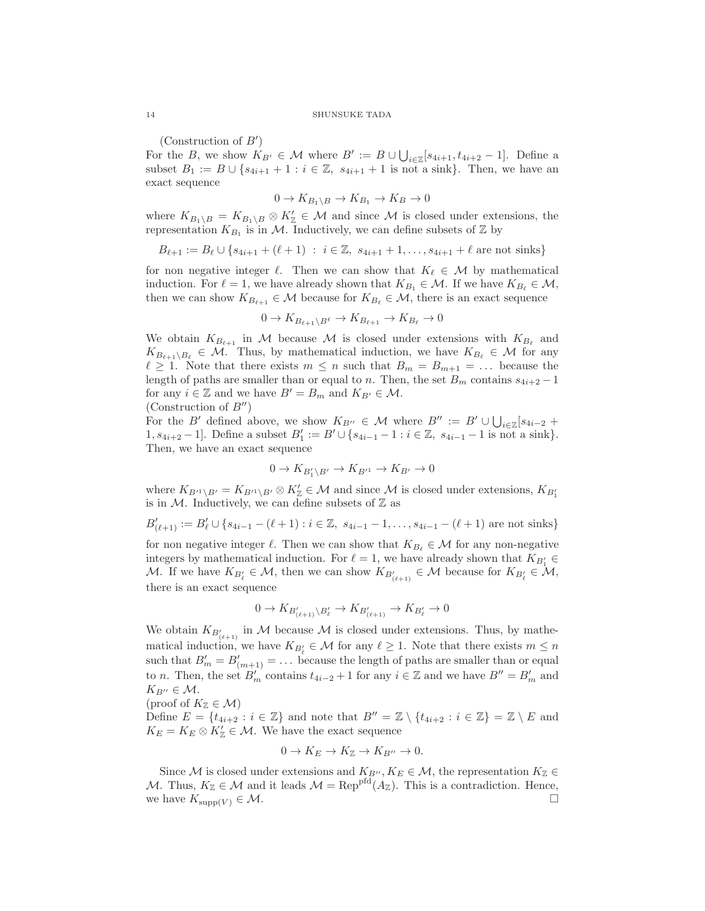(Construction of B′ )

For the B, we show  $K_{B'} \in \mathcal{M}$  where  $B' := B \cup \bigcup_{i \in \mathbb{Z}} [s_{4i+1}, t_{4i+2} - 1]$ . Define a subset  $B_1 := B \cup \{s_{4i+1} + 1 : i \in \mathbb{Z}, s_{4i+1} + 1 \text{ is not a sink}\}.$  Then, we have an exact sequence

$$
0 \to K_{B_1 \setminus B} \to K_{B_1} \to K_B \to 0
$$

where  $K_{B_1\setminus B} = K_{B_1\setminus B} \otimes K'_{\mathbb{Z}} \in \mathcal{M}$  and since  $\mathcal M$  is closed under extensions, the representation  $K_{B_1}$  is in M. Inductively, we can define subsets of  $\mathbb Z$  by

$$
B_{\ell+1} := B_{\ell} \cup \{s_{4i+1} + (\ell+1) \ : \ i \in \mathbb{Z}, \ s_{4i+1} + 1, \dots, s_{4i+1} + \ell \ \text{are not sinks}\}
$$

for non negative integer  $\ell$ . Then we can show that  $K_{\ell} \in \mathcal{M}$  by mathematical induction. For  $\ell = 1$ , we have already shown that  $K_{B_1} \in \mathcal{M}$ . If we have  $K_{B_\ell} \in \mathcal{M}$ , then we can show  $K_{B_{\ell+1}} \in \mathcal{M}$  because for  $K_{B_{\ell}} \in \mathcal{M}$ , there is an exact sequence

$$
0 \to K_{B_{\ell+1} \setminus B^{\ell}} \to K_{B_{\ell+1}} \to K_{B_{\ell}} \to 0
$$

We obtain  $K_{B_{\ell+1}}$  in M because M is closed under extensions with  $K_{B_{\ell}}$  and  $K_{B_{\ell+1}\setminus B_{\ell}} \in \mathcal{M}$ . Thus, by mathematical induction, we have  $K_{B_{\ell}} \in \mathcal{M}$  for any  $\ell \geq 1$ . Note that there exists  $m \leq n$  such that  $B_m = B_{m+1} = \ldots$  because the length of paths are smaller than or equal to n. Then, the set  $B_m$  contains  $s_{4i+2}-1$ for any  $i \in \mathbb{Z}$  and we have  $B' = B_m$  and  $K_{B'} \in \mathcal{M}$ . (Construction of  $B''$ )

For the B' defined above, we show  $K_{B''} \in \mathcal{M}$  where  $B'' := B' \cup \bigcup_{i \in \mathbb{Z}} [s_{4i-2} +$ 1,  $s_{4i+2}-1$ ]. Define a subset  $B'_1 := B' \cup \{s_{4i-1}-1 : i \in \mathbb{Z}, s_{4i-1}-1 \text{ is not a sink}\}.$ Then, we have an exact sequence

$$
0 \to K_{B_1'\backslash B'} \to K_{B'^1} \to K_{B'} \to 0
$$

where  $K_{B'^1\setminus B'} = K_{B'^1\setminus B'} \otimes K'_{\mathbb{Z}} \in \mathcal{M}$  and since  $\mathcal M$  is closed under extensions,  $K_{B'_1}$ is in  $M$ . Inductively, we can define subsets of  $\mathbb Z$  as

$$
B'_{(\ell+1)} := B'_{\ell} \cup \{s_{4i-1} - (\ell+1) : i \in \mathbb{Z}, s_{4i-1} - 1, \dots, s_{4i-1} - (\ell+1) \text{ are not sinks}\}
$$

for non negative integer  $\ell$ . Then we can show that  $K_{B_\ell} \in \mathcal{M}$  for any non-negative integers by mathematical induction. For  $\ell = 1$ , we have already shown that  $K_{B'_1} \in$ M. If we have  $K_{B'_\ell} \in \mathcal{M}$ , then we can show  $K_{B'_{(\ell+1)}} \in \mathcal{M}$  because for  $K_{B'_\ell} \in \mathcal{M}$ , there is an exact sequence

$$
0 \to K_{B'_{(\ell+1)} \backslash B'_{\ell}} \to K_{B'_{(\ell+1)}} \to K_{B'_{\ell}} \to 0
$$

We obtain  $K_{B'_{(\ell+1)}}$  in M because M is closed under extensions. Thus, by mathematical induction, we have  $K_{B'_\ell} \in \mathcal{M}$  for any  $\ell \geq 1$ . Note that there exists  $m \leq n$ such that  $B'_m = B'_{(m+1)} = \ldots$  because the length of paths are smaller than or equal to *n*. Then, the set  $B'_m$  contains  $t_{4i-2} + 1$  for any  $i \in \mathbb{Z}$  and we have  $B'' = B'_m$  and  $K_{B^{\prime\prime}}\in\mathcal{M}.$ 

(proof of  $K_{\mathbb{Z}} \in \mathcal{M}$ )

Define  $E = \{t_{4i+2} : i \in \mathbb{Z}\}\$ and note that  $B'' = \mathbb{Z} \setminus \{t_{4i+2} : i \in \mathbb{Z}\} = \mathbb{Z} \setminus E$  and  $K_E = K_E \otimes K'_{\mathbb{Z}} \in \mathcal{M}$ . We have the exact sequence

$$
0 \to K_E \to K_{\mathbb{Z}} \to K_{B''} \to 0.
$$

Since M is closed under extensions and  $K_{B''}, K_E \in \mathcal{M}$ , the representation  $K_{\mathbb{Z}} \in$ M. Thus,  $K_{\mathbb{Z}} \in \mathcal{M}$  and it leads  $\mathcal{M} = \text{Rep}^{\text{pfd}}(A_{\mathbb{Z}})$ . This is a contradiction. Hence, we have  $K_{\text{supp}(V)} \in \mathcal{M}$ .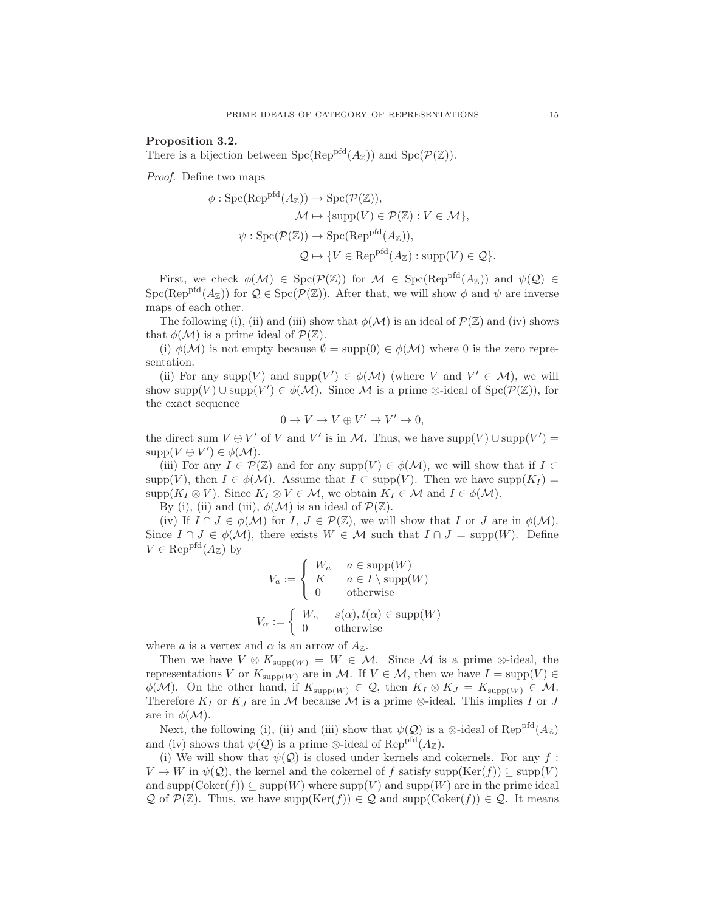## <span id="page-14-0"></span>Proposition 3.2.

There is a bijection between  $\text{Spc}(\text{Rep}^{\text{pfd}}(A_{\mathbb{Z}}))$  and  $\text{Spc}(\mathcal{P}(\mathbb{Z}))$ .

Proof. Define two maps

$$
\phi: \operatorname{Spc}(\operatorname{Rep}^{\text{pfd}}(A_{\mathbb{Z}})) \to \operatorname{Spc}(\mathcal{P}(\mathbb{Z})),
$$
  
\n
$$
\mathcal{M} \mapsto \{\operatorname{supp}(V) \in \mathcal{P}(\mathbb{Z}) : V \in \mathcal{M}\},
$$
  
\n
$$
\psi: \operatorname{Spc}(\mathcal{P}(\mathbb{Z})) \to \operatorname{Spc}(\operatorname{Rep}^{\text{pfd}}(A_{\mathbb{Z}})),
$$
  
\n
$$
\mathcal{Q} \mapsto \{V \in \operatorname{Rep}^{\text{pfd}}(A_{\mathbb{Z}}) : \operatorname{supp}(V) \in \mathcal{Q}\}.
$$

First, we check  $\phi(\mathcal{M}) \in \text{Spc}(\mathcal{P}(\mathbb{Z}))$  for  $\mathcal{M} \in \text{Spc}(\text{Rep}^{\text{pfd}}(A_{\mathbb{Z}}))$  and  $\psi(\mathcal{Q}) \in$  $Spc(Rep<sup>pfd</sup>(A<sub>\mathbb{Z</sub>))$  for  $\mathcal{Q} \in Spc(\mathcal{P}(\mathbb{Z}))$ . After that, we will show  $\phi$  and  $\psi$  are inverse maps of each other.

The following (i), (ii) and (iii) show that  $\phi(\mathcal{M})$  is an ideal of  $\mathcal{P}(\mathbb{Z})$  and (iv) shows that  $\phi(\mathcal{M})$  is a prime ideal of  $\mathcal{P}(\mathbb{Z})$ .

(i)  $\phi(\mathcal{M})$  is not empty because  $\emptyset = \text{supp}(0) \in \phi(\mathcal{M})$  where 0 is the zero representation.

(ii) For any supp $(V)$  and supp $(V') \in \phi(\mathcal{M})$  (where V and  $V' \in \mathcal{M}$ ), we will show supp $(V) \cup \text{supp}(V') \in \phi(\mathcal{M})$ . Since M is a prime ⊗-ideal of Spc $(\mathcal{P}(\mathbb{Z}))$ , for the exact sequence

$$
0 \to V \to V \oplus V' \to V' \to 0,
$$

the direct sum  $V \oplus V'$  of V and V' is in M. Thus, we have  $supp(V) \cup supp(V') =$  $supp(V \oplus V') \in \phi(\mathcal{M}).$ 

(iii) For any  $I \in \mathcal{P}(\mathbb{Z})$  and for any supp $(V) \in \phi(\mathcal{M})$ , we will show that if  $I \subset$  $\text{supp}(V)$ , then  $I \in \phi(\mathcal{M})$ . Assume that  $I \subset \text{supp}(V)$ . Then we have  $\text{supp}(K_I) =$ supp $(K_I \otimes V)$ . Since  $K_I \otimes V \in \mathcal{M}$ , we obtain  $K_I \in \mathcal{M}$  and  $I \in \phi(\mathcal{M})$ .

By (i), (ii) and (iii),  $\phi(\mathcal{M})$  is an ideal of  $\mathcal{P}(\mathbb{Z})$ .

(iv) If  $I \cap J \in \phi(\mathcal{M})$  for  $I, J \in \mathcal{P}(\mathbb{Z})$ , we will show that I or J are in  $\phi(\mathcal{M})$ . Since  $I \cap J \in \phi(\mathcal{M})$ , there exists  $W \in \mathcal{M}$  such that  $I \cap J = \text{supp}(W)$ . Define  $V \in \mathrm{Rep}^{\mathrm{pfd}}(A_{\mathbb{Z}})$  by

$$
V_a := \begin{cases} W_a & a \in \text{supp}(W) \\ K & a \in I \setminus \text{supp}(W) \\ 0 & \text{otherwise} \end{cases}
$$

$$
V_\alpha := \begin{cases} W_\alpha & s(\alpha), t(\alpha) \in \text{supp}(W) \\ 0 & \text{otherwise} \end{cases}
$$

where a is a vertex and  $\alpha$  is an arrow of  $A_{\mathbb{Z}}$ .

Then we have  $V \otimes K_{\text{supp}(W)} = W \in \mathcal{M}$ . Since M is a prime  $\otimes$ -ideal, the representations V or  $K_{\text{supp}(W)}$  are in M. If  $V \in \mathcal{M}$ , then we have  $I = \text{supp}(V) \in$  $\phi(\mathcal{M})$ . On the other hand, if  $K_{\text{supp}(W)} \in \mathcal{Q}$ , then  $K_I \otimes K_J = K_{\text{supp}(W)} \in \mathcal{M}$ . Therefore  $K_I$  or  $K_J$  are in M because M is a prime ⊗-ideal. This implies I or J are in  $\phi(\mathcal{M})$ .

Next, the following (i), (ii) and (iii) show that  $\psi(Q)$  is a ⊗-ideal of Rep<sup>pfd</sup>(A<sub>Z</sub>) and (iv) shows that  $\psi(\mathcal{Q})$  is a prime ⊗-ideal of Rep<sup>pfd</sup>( $A_{\mathbb{Z}}$ ).

(i) We will show that  $\psi(Q)$  is closed under kernels and cokernels. For any f:  $V \to W$  in  $\psi(\mathcal{Q})$ , the kernel and the cokernel of f satisfy supp(Ker(f))  $\subseteq$  supp(V) and supp( $\text{Coker}(f)$ )  $\subseteq$  supp $(W)$  where supp $(V)$  and supp $(W)$  are in the prime ideal  $\mathcal Q$  of  $\mathcal P(\mathbb{Z})$ . Thus, we have supp $(\text{Ker}(f)) \in \mathcal Q$  and supp( $\text{Coker}(f)$ )  $\in \mathcal Q$ . It means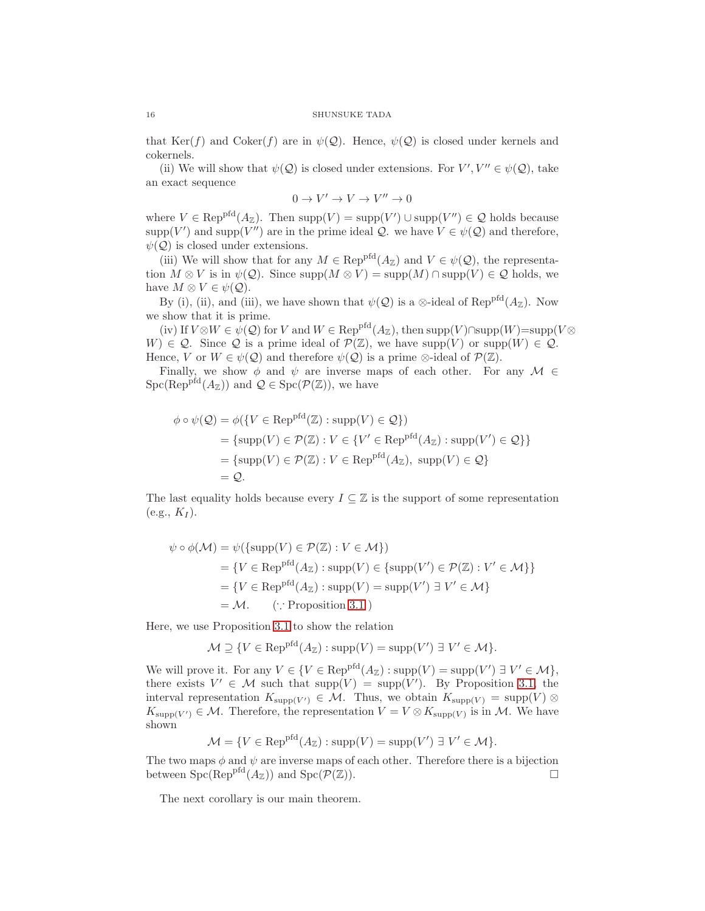that Ker(f) and Coker(f) are in  $\psi(Q)$ . Hence,  $\psi(Q)$  is closed under kernels and cokernels.

(ii) We will show that  $\psi(Q)$  is closed under extensions. For  $V', V'' \in \psi(Q)$ , take an exact sequence

$$
0\to V'\to V\to V''\to 0
$$

where  $V \in \text{Rep}^{\text{pfd}}(A_{\mathbb{Z}})$ . Then  $\text{supp}(V) = \text{supp}(V') \cup \text{supp}(V'') \in \mathcal{Q}$  holds because supp(V') and supp(V'') are in the prime ideal  $\mathcal{Q}$ . we have  $V \in \psi(\mathcal{Q})$  and therefore,  $\psi(\mathcal{Q})$  is closed under extensions.

(iii) We will show that for any  $M \in \text{Rep}^{\text{pfd}}(A_{\mathbb{Z}})$  and  $V \in \psi(\mathcal{Q})$ , the representation  $M \otimes V$  is in  $\psi(\mathcal{Q})$ . Since supp $(M \otimes V) = \text{supp}(M) \cap \text{supp}(V) \in \mathcal{Q}$  holds, we have  $M \otimes V \in \psi(\mathcal{Q})$ .

By (i), (ii), and (iii), we have shown that  $\psi(Q)$  is a ⊗-ideal of Rep<sup>pfd</sup>( $A_{\mathbb{Z}}$ ). Now we show that it is prime.

(iv) If  $V \otimes W \in \psi(\mathcal{Q})$  for V and  $W \in \text{Rep}^{\text{pfd}}(A_{\mathbb{Z}})$ , then  $\text{supp}(V) \cap \text{supp}(W) = \text{supp}(V \otimes$  $W \in \mathcal{Q}$ . Since  $\mathcal Q$  is a prime ideal of  $\mathcal{P}(\mathbb{Z})$ , we have supp $(V)$  or supp $(W) \in \mathcal Q$ . Hence, V or  $W \in \psi(\mathcal{Q})$  and therefore  $\psi(\mathcal{Q})$  is a prime ⊗-ideal of  $\mathcal{P}(\mathbb{Z})$ .

Finally, we show  $\phi$  and  $\psi$  are inverse maps of each other. For any  $\mathcal{M} \in$  $Spc(Rep<sup>pfd</sup>(A<sub>\mathbb{Z</sub>))$  and  $\mathcal{Q} \in Spc(\mathcal{P}(\mathbb{Z}))$ , we have

$$
\phi \circ \psi(\mathcal{Q}) = \phi(\{V \in \text{Rep}^{\text{pfd}}(\mathbb{Z}) : \text{supp}(V) \in \mathcal{Q}\})
$$
  
= {supp(V) \in \mathcal{P}(\mathbb{Z}) : V \in \{V' \in \text{Rep}^{\text{pfd}}(A\_{\mathbb{Z}}) : \text{supp}(V') \in \mathcal{Q}\}}  
= {supp(V) \in \mathcal{P}(\mathbb{Z}) : V \in \text{Rep}^{\text{pfd}}(A\_{\mathbb{Z}}), \text{ supp}(V) \in \mathcal{Q}\}  
= Q.

The last equality holds because every  $I \subseteq \mathbb{Z}$  is the support of some representation  $(e.g., K_I).$ 

$$
\psi \circ \phi(\mathcal{M}) = \psi(\{\text{supp}(V) \in \mathcal{P}(\mathbb{Z}) : V \in \mathcal{M}\})
$$
  
= {V \in \text{Rep}^{\text{pfd}}(A\_{\mathbb{Z}}) : \text{supp}(V) \in {\text{supp}}(V') \in \mathcal{P}(\mathbb{Z}) : V' \in \mathcal{M}\}  
= {V \in \text{Rep}^{\text{pfd}}(A\_{\mathbb{Z}}) : \text{supp}(V) = \text{supp}(V') \exists V' \in \mathcal{M}\}  
= M. \quad (\because \text{Proposition 3.1})

Here, we use Proposition [3.1](#page-11-1) to show the relation

$$
\mathcal{M} \supseteq \{ V \in \text{Rep}^{\text{pfd}}(A_{\mathbb{Z}}) : \text{supp}(V) = \text{supp}(V') \sqsupseteq V' \in \mathcal{M} \}.
$$

We will prove it. For any  $V \in \{V \in \text{Rep}^{\text{pfd}}(A_{\mathbb{Z}}) : \text{supp}(V) = \text{supp}(V') \exists V' \in \mathcal{M}\},\$ there exists  $V' \in \mathcal{M}$  such that supp $(V) = \text{supp}(V')$ . By Proposition [3.1,](#page-11-1) the interval representation  $K_{\text{supp}(V')} \in \mathcal{M}$ . Thus, we obtain  $K_{\text{supp}(V)} = \text{supp}(V) \otimes$  $K_{\text{supp}(V')} \in \mathcal{M}$ . Therefore, the representation  $V = V \otimes K_{\text{supp}(V)}$  is in  $\mathcal{M}$ . We have shown

$$
\mathcal{M} = \{ V \in \text{Rep}^{\text{pfd}}(A_{\mathbb{Z}}) : \text{supp}(V) = \text{supp}(V') \exists V' \in \mathcal{M} \}.
$$

The two maps  $\phi$  and  $\psi$  are inverse maps of each other. Therefore there is a bijection between  $\operatorname{Spc}(\operatorname{Rep}^{\text{pfd}}(A_{\mathbb{Z}}))$  and  $\operatorname{Spc}(\mathcal{P}(\mathbb{Z}))$ .

The next corollary is our main theorem.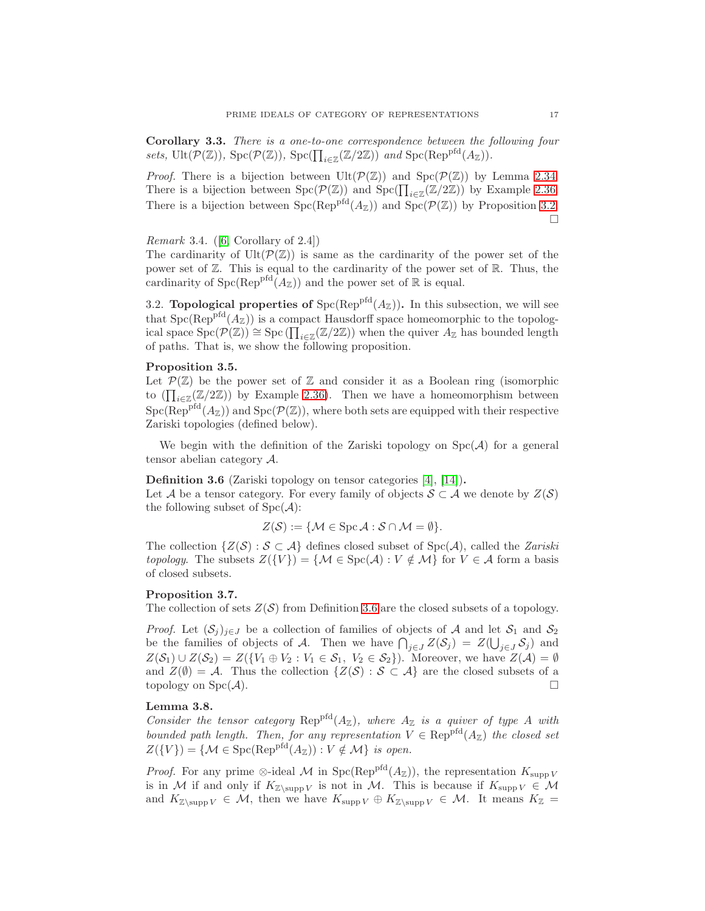Corollary 3.3. There is a one-to-one correspondence between the following four sets, Ult $(\mathcal{P}(\mathbb{Z}))$ , Spc $(\mathcal{P}(\mathbb{Z}))$ , Spc $(\prod_{i\in\mathbb{Z}}(\mathbb{Z}/2\mathbb{Z}))$  and Spc $(\text{Rep}^{\text{pfd}}(A_{\mathbb{Z}}))$ .

*Proof.* There is a bijection between  $Ult(\mathcal{P}(\mathbb{Z}))$  and  $Spec(\mathcal{P}(\mathbb{Z}))$  by Lemma [2.34.](#page-10-2) There is a bijection between  $\text{Spc}(\mathcal{P}(\mathbb{Z}))$  and  $\text{Spc}(\prod_{i\in\mathbb{Z}}(\mathbb{Z}/2\mathbb{Z}))$  by Example [2.36.](#page-11-2) There is a bijection between  $Spec(Rep<sup>pfd</sup>(A<sub>Z</sub>))$  and  $Spec(\mathcal{P}(Z))$  by Proposition [3.2.](#page-14-0)  $\Box$ 

*Remark* 3.4. ([\[6,](#page-25-11) Corollary of 2.4])

The cardinarity of  $Ult(\mathcal{P}(\mathbb{Z}))$  is same as the cardinarity of the power set of the power set of  $\mathbb{Z}$ . This is equal to the cardinarity of the power set of  $\mathbb{R}$ . Thus, the cardinarity of  $\operatorname{Spc}(\operatorname{Rep}^{\text{pfd}}(A_{\mathbb{Z}}))$  and the power set of  $\mathbb R$  is equal.

3.2. **Topological properties of**  $Spec(Rep<sup>pfd</sup>(A<sub>Z</sub>))$ . In this subsection, we will see that  $Spec(Rep<sup>pfd</sup>(A<sub>Z</sub>))$  is a compact Hausdorff space homeomorphic to the topological space  $\text{Spc}(\mathcal{P}(\mathbb{Z})) \cong \text{Spc}(\prod_{i \in \mathbb{Z}} (\mathbb{Z}/2\mathbb{Z}))$  when the quiver  $A_{\mathbb{Z}}$  has bounded length of paths. That is, we show the following proposition.

## <span id="page-16-2"></span>Proposition 3.5.

Let  $\mathcal{P}(\mathbb{Z})$  be the power set of  $\mathbb Z$  and consider it as a Boolean ring (isomorphic to  $(\prod_{i\in\mathbb{Z}}(\mathbb{Z}/2\mathbb{Z}))$  by Example [2.36\)](#page-11-2). Then we have a homeomorphism between  $Spc(Rep<sup>pfd</sup>(A<sub>\mathbb{Z</sub>))$  and  $Spc(\mathcal{P}(\mathbb{Z}))$ , where both sets are equipped with their respective Zariski topologies (defined below).

We begin with the definition of the Zariski topology on  $\text{Spc}(\mathcal{A})$  for a general tensor abelian category A.

<span id="page-16-0"></span>Definition 3.6 (Zariski topology on tensor categories [\[4\]](#page-25-6), [\[14\]](#page-25-5)).

Let A be a tensor category. For every family of objects  $S \subset A$  we denote by  $Z(S)$ the following subset of  $\text{Spc}(\mathcal{A})$ :

 $Z(S) := \{ \mathcal{M} \in \text{Spc } A : \mathcal{S} \cap \mathcal{M} = \emptyset \}.$ 

The collection  $\{Z(\mathcal{S}) : \mathcal{S} \subset \mathcal{A}\}\$  defines closed subset of  $\text{Spc}(\mathcal{A})$ , called the Zariski topology. The subsets  $Z({V}) = \{M \in \text{Spc}(\mathcal{A}): V \notin \mathcal{M}\}\)$  for  $V \in \mathcal{A}$  form a basis of closed subsets.

### Proposition 3.7.

The collection of sets  $Z(S)$  from Definition [3.6](#page-16-0) are the closed subsets of a topology.

*Proof.* Let  $(S_j)_{j\in J}$  be a collection of families of objects of A and let  $S_1$  and  $S_2$ be the families of objects of A. Then we have  $\bigcap_{j\in J} Z(\mathcal{S}_j) = Z(\bigcup_{j\in J} \mathcal{S}_j)$  and  $Z(\mathcal{S}_1) \cup Z(\mathcal{S}_2) = Z(\{V_1 \oplus V_2 : V_1 \in \mathcal{S}_1, V_2 \in \mathcal{S}_2\}).$  Moreover, we have  $Z(\mathcal{A}) = \emptyset$ and  $Z(\emptyset) = A$ . Thus the collection  $\{Z(\mathcal{S}) : \mathcal{S} \subset A\}$  are the closed subsets of a topology on  $\text{Spc}(\mathcal{A})$ .

### <span id="page-16-1"></span>Lemma 3.8.

Consider the tensor category Rep<sup>pfd</sup> $(A_{\mathbb{Z}})$ , where  $A_{\mathbb{Z}}$  is a quiver of type A with bounded path length. Then, for any representation  $V \in \text{Rep}^{\text{pd}}(A_{\mathbb{Z}})$  the closed set  $Z({V}) = \{ \mathcal{M} \in \text{Spc}(\text{Rep}^{\text{pfd}}(A_{\mathbb{Z}})): V \notin \mathcal{M} \}$  is open.

*Proof.* For any prime ⊗-ideal M in Spc(Rep<sup>pfd</sup>(A<sub> $\mathbb{Z}$ )), the representation  $K_{\text{supp }V}$ </sub> is in M if and only if  $K_{\mathbb{Z}\setminus \text{supp }V}$  is not in M. This is because if  $K_{\text{supp }V} \in \mathcal{M}$ and  $K_{\mathbb{Z}\setminus \text{supp }V} \in \mathcal{M}$ , then we have  $K_{\text{supp }V} \oplus K_{\mathbb{Z}\setminus \text{supp }V} \in \mathcal{M}$ . It means  $K_{\mathbb{Z}} =$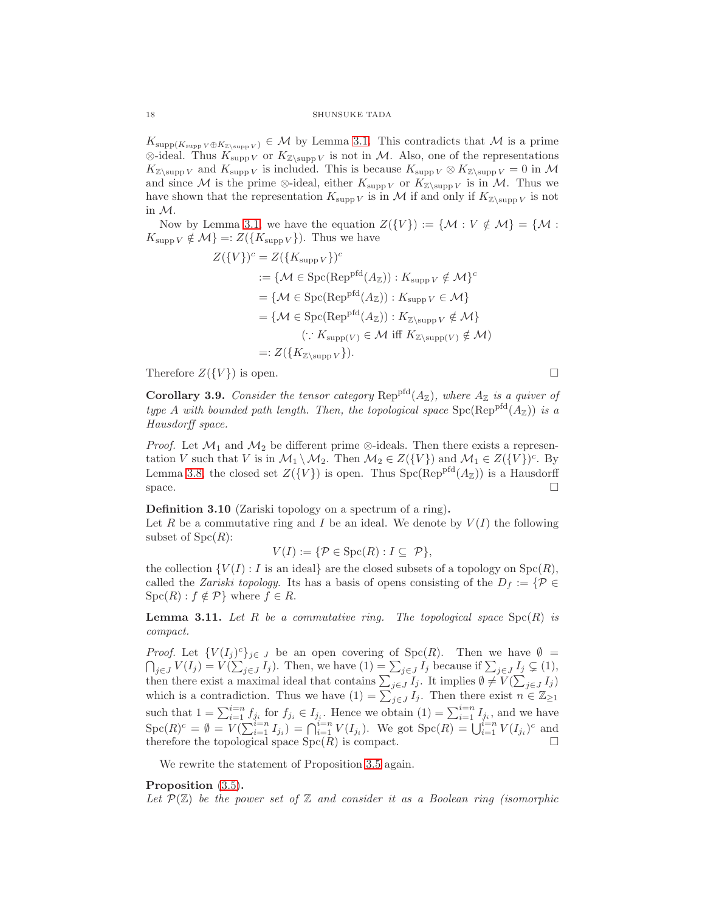#### 18 SHUNSUKE TADA

 $K_{\text{supp }V \oplus K_{\mathbb{Z}\setminus \text{supp }V}} \in \mathcal{M}$  by Lemma [3.1.](#page-11-1) This contradicts that  $\mathcal{M}$  is a prime  $\otimes$ -ideal. Thus  $K_{\text{supp }V}$  or  $K_{\mathbb{Z}\setminus \text{supp }V}$  is not in M. Also, one of the representations  $K_{\mathbb{Z}\backslash \text{supp }V}$  and  $K_{\text{supp }V}$  is included. This is because  $K_{\text{supp }V}\otimes K_{\mathbb{Z}\backslash \text{supp }V}=0$  in M and since M is the prime ⊗-ideal, either  $K_{\text{supp }V}$  or  $K_{\mathbb{Z}\setminus \text{supp }V}$  is in M. Thus we have shown that the representation  $K_{\text{supp }V}$  is in M if and only if  $K_{\mathbb{Z}\setminus \text{supp }V}$  is not in M.

Now by Lemma [3.1,](#page-11-1) we have the equation  $Z({V}) := \{M : V \notin M\} = \{M : V \notin M\}$  $K_{\text{supp }V} \notin \mathcal{M}$  =:  $Z({K_{\text{supp }V}})$ . Thus we have

$$
Z(\lbrace V \rbrace)^c = Z(\lbrace K_{\text{supp } V} \rbrace)^c
$$
  
:=  $\lbrace \mathcal{M} \in \text{Spc}(\text{Rep}^{\text{pfd}}(A_{\mathbb{Z}})): K_{\text{supp } V} \notin \mathcal{M} \rbrace^c$   
=  $\lbrace \mathcal{M} \in \text{Spc}(\text{Rep}^{\text{pfd}}(A_{\mathbb{Z}})): K_{\text{supp } V} \in \mathcal{M} \rbrace$   
=  $\lbrace \mathcal{M} \in \text{Spc}(\text{Rep}^{\text{pfd}}(A_{\mathbb{Z}})): K_{\mathbb{Z} \setminus \text{supp } V} \notin \mathcal{M} \rbrace$   
 $\langle \because K_{\text{supp}}(V) \in \mathcal{M} \text{ iff } K_{\mathbb{Z} \setminus \text{supp}(V)} \notin \mathcal{M} \rangle$   
=:  $Z(\lbrace K_{\mathbb{Z} \setminus \text{supp } V} \rbrace).$ 

Therefore  $Z(\lbrace V \rbrace)$  is open.

<span id="page-17-1"></span>**Corollary 3.9.** Consider the tensor category  $\text{Rep}^{\text{pfd}}(A_{\mathbb{Z}})$ , where  $A_{\mathbb{Z}}$  is a quiver of type A with bounded path length. Then, the topological space  $\text{Spc}(\text{Rep}^{\text{pfd}}(A_{\mathbb{Z}}))$  is a Hausdorff space.

*Proof.* Let  $\mathcal{M}_1$  and  $\mathcal{M}_2$  be different prime ⊗-ideals. Then there exists a representation V such that V is in  $\mathcal{M}_1 \setminus \mathcal{M}_2$ . Then  $\mathcal{M}_2 \in Z(\lbrace V \rbrace)$  and  $\mathcal{M}_1 \in Z(\lbrace V \rbrace)^c$ . By Lemma [3.8,](#page-16-1) the closed set  $Z({V})$  is open. Thus  $Spc(Rep<sup>pfd</sup>(A<sub>Z</sub>))$  is a Hausdorff space.  $\Box$ 

Definition 3.10 (Zariski topology on a spectrum of a ring).

Let R be a commutative ring and I be an ideal. We denote by  $V(I)$  the following subset of  $Spec(R)$ :

$$
V(I) := \{ \mathcal{P} \in \text{Spc}(R) : I \subseteq \mathcal{P} \},
$$

the collection  $\{V(I): I$  is an ideal} are the closed subsets of a topology on  $\text{Spc}(R)$ , called the *Zariski topology*. Its has a basis of opens consisting of the  $D_f := \{ \mathcal{P} \in$  $Spc(R)$ :  $f \notin \mathcal{P}$ } where  $f \in R$ .

<span id="page-17-0"></span>**Lemma 3.11.** Let R be a commutative ring. The topological space  $\text{Spc}(R)$  is compact.

*Proof.* Let  ${V(I_j)^c}_{j \in J}$  be an open covering of Spc(R). Then we have  $\emptyset$  =  $\bigcap_{j\in J} V(I_j) = V(\sum_{j\in J} I_j)$ . Then, we have  $(1) = \sum_{j\in J} I_j$  because if  $\sum_{j\in J} I_j \subsetneq (1)$ , then there exist a maximal ideal that contains  $\sum_{j\in J} I_j$ . It implies  $\emptyset \neq V(\sum_{j\in J} I_j)$ which is a contradiction. Thus we have  $(1) = \sum_{j \in J} I_j$ . Then there exist  $n \in \mathbb{Z}_{\geq 1}$ such that  $1 = \sum_{i=1}^{i=n} f_{j_i}$  for  $f_{j_i} \in I_{j_i}$ . Hence we obtain  $(1) = \sum_{i=1}^{i=n} I_{j_i}$ , and we have  $\operatorname{Spc}(R)^c = \emptyset = V(\sum_{i=1}^{i=n} I_{j_i}) = \bigcap_{i=1}^{i=n} V(I_{j_i}).$  We got  $\operatorname{Spc}(R) = \bigcup_{i=1}^{i=n} V(I_{j_i})^c$  and therefore the topological space  $Spc(R)$  is compact.

We rewrite the statement of Proposition [3.5](#page-16-2) again.

#### Proposition [\(3.5\)](#page-16-2).

Let  $\mathcal{P}(\mathbb{Z})$  be the power set of  $\mathbb Z$  and consider it as a Boolean ring (isomorphic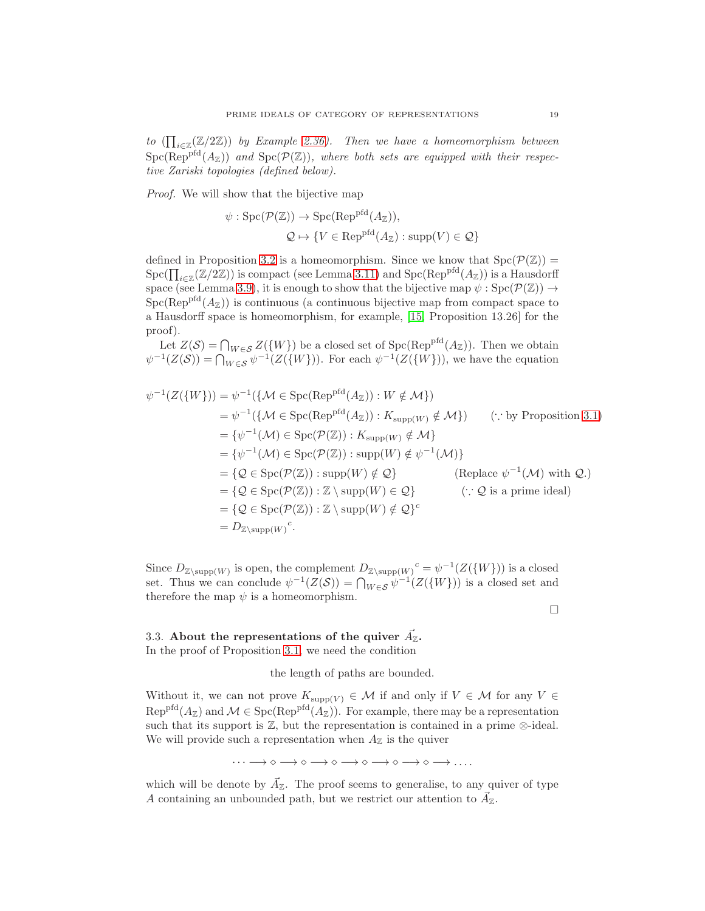to  $(\prod_{i\in\mathbb{Z}}(\mathbb{Z}/2\mathbb{Z}))$  by Example [2.36\)](#page-11-2). Then we have a homeomorphism between  $Spec(Rep<sup>pfd</sup>(A<sub>\mathbb{Z</sub>))$  and  $Spec(\mathcal{P}(\mathbb{Z}))$ , where both sets are equipped with their respective Zariski topologies (defined below).

Proof. We will show that the bijective map

$$
\psi : \text{Spc}(\mathcal{P}(\mathbb{Z})) \to \text{Spc}(\text{Rep}^{\text{pfd}}(A_{\mathbb{Z}})),
$$
  

$$
\mathcal{Q} \mapsto \{ V \in \text{Rep}^{\text{pfd}}(A_{\mathbb{Z}}) : \text{supp}(V) \in \mathcal{Q} \}
$$

defined in Proposition [3.2](#page-14-0) is a homeomorphism. Since we know that  $\text{Spc}(\mathcal{P}(\mathbb{Z})) =$  $\mathrm{Spc}(\prod_{i\in\mathbb{Z}}(\mathbb{Z}/2\mathbb{Z}))$  is compact (see Lemma [3.11\)](#page-17-0) and  $\mathrm{Spc}(\mathrm{Rep}^{\mathrm{pfd}}(A_{\mathbb{Z}}))$  is a Hausdorff space (see Lemma [3.9\)](#page-17-1), it is enough to show that the bijective map  $\psi : \text{Spc}(\mathcal{P}(\mathbb{Z})) \to$  $Spc(Rep<sup>pfd</sup>(A<sub>\mathbb{Z</sub>))$  is continuous (a continuous bijective map from compact space to a Hausdorff space is homeomorphism, for example, [\[15,](#page-25-12) Proposition 13.26] for the proof).

Let  $Z(S) = \bigcap_{W \in S} Z({W})$  be a closed set of  $Spec(Rep<sup>pfd</sup>(A<sub>Z</sub>)).$  Then we obtain  $\psi^{-1}(Z(S)) = \bigcap_{W \in S} \psi^{-1}(Z(\{W\})).$  For each  $\psi^{-1}(Z(\{W\})),$  we have the equation

$$
\psi^{-1}(Z(\{W\})) = \psi^{-1}(\{\mathcal{M} \in \text{Spc}(\text{Rep}^{\text{pfd}}(A_{\mathbb{Z}})): W \notin \mathcal{M}\})
$$
\n
$$
= \psi^{-1}(\{\mathcal{M} \in \text{Spc}(\text{Rep}^{\text{pfd}}(A_{\mathbb{Z}})): K_{\text{supp}(W)} \notin \mathcal{M}\}) \qquad (\because \text{ by Proposition 3.1})
$$
\n
$$
= \{\psi^{-1}(\mathcal{M}) \in \text{Spc}(\mathcal{P}(\mathbb{Z})): K_{\text{supp}(W)} \notin \mathcal{M}\}
$$
\n
$$
= \{\psi^{-1}(\mathcal{M}) \in \text{Spc}(\mathcal{P}(\mathbb{Z})): \text{supp}(W) \notin \psi^{-1}(\mathcal{M})\}
$$
\n
$$
= \{Q \in \text{Spc}(\mathcal{P}(\mathbb{Z})): \text{supp}(W) \notin Q\} \qquad (\text{Replace } \psi^{-1}(\mathcal{M}) \text{ with } Q.)
$$
\n
$$
= \{Q \in \text{Spc}(\mathcal{P}(\mathbb{Z})): \mathbb{Z} \setminus \text{supp}(W) \in Q\} \qquad (\because Q \text{ is a prime ideal})
$$
\n
$$
= \{Q \in \text{Spc}(\mathcal{P}(\mathbb{Z})): \mathbb{Z} \setminus \text{supp}(W) \notin Q\}^c
$$
\n
$$
= D_{\mathbb{Z}\setminus \text{supp}(W)}^c.
$$

Since  $D_{\mathbb{Z}\setminus \text{supp}(W)}$  is open, the complement  $D_{\mathbb{Z}\setminus \text{supp}(W)}^c = \psi^{-1}(Z(\{W\}))$  is a closed set. Thus we can conclude  $\psi^{-1}(Z(S)) = \bigcap_{W \in S} \psi^{-1}(Z(\{W\}))$  is a closed set and therefore the map  $\psi$  is a homeomorphism.

# 3.3. About the representations of the quiver  $\vec{A}_{\mathbb{Z}}$ . In the proof of Proposition [3.1,](#page-11-1) we need the condition

the length of paths are bounded.

Without it, we can not prove  $K_{\text{supp}(V)} \in \mathcal{M}$  if and only if  $V \in \mathcal{M}$  for any  $V \in$  $\text{Rep}^{\text{pfd}}(A_{\mathbb{Z}})$  and  $\mathcal{M} \in \text{Spc}(\text{Rep}^{\text{pfd}}(A_{\mathbb{Z}}))$ . For example, there may be a representation such that its support is  $\mathbb{Z}$ , but the representation is contained in a prime ⊗-ideal. We will provide such a representation when  $A_{\mathbb{Z}}$  is the quiver

$$
\cdots \longrightarrow \diamond \longrightarrow \diamond \longrightarrow \diamond \longrightarrow \diamond \longrightarrow \diamond \longrightarrow \diamond \longrightarrow \cdots.
$$

which will be denote by  $\vec{A}_{\mathbb{Z}}$ . The proof seems to generalise, to any quiver of type A containing an unbounded path, but we restrict our attention to  $\vec{A}_{\mathbb{Z}}$ .

 $\Box$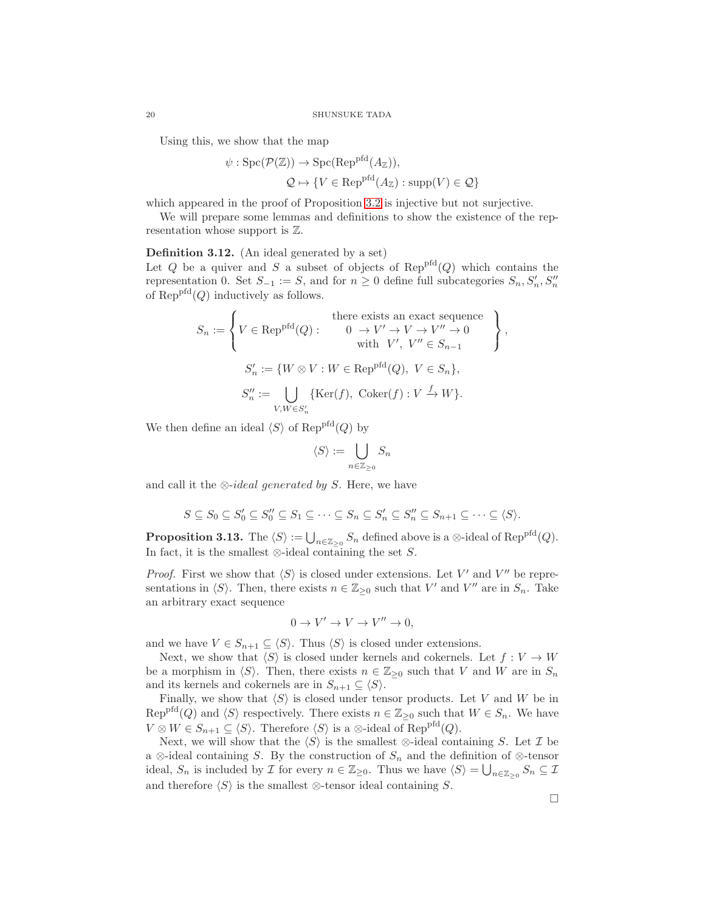Using this, we show that the map

$$
\psi : \text{Spc}(\mathcal{P}(\mathbb{Z})) \to \text{Spc}(\text{Rep}^{\text{pfd}}(A_{\mathbb{Z}})),
$$
  

$$
\mathcal{Q} \mapsto \{ V \in \text{Rep}^{\text{pfd}}(A_{\mathbb{Z}}) : \text{supp}(V) \in \mathcal{Q} \}
$$

which appeared in the proof of Proposition [3.2](#page-14-0) is injective but not surjective.

We will prepare some lemmas and definitions to show the existence of the representation whose support is Z.

<span id="page-19-0"></span>Definition 3.12. (An ideal generated by a set)

Let  $Q$  be a quiver and  $S$  a subset of objects of Rep<sup>pfd</sup> $(Q)$  which contains the representation 0. Set  $S_{-1} := S$ , and for  $n \geq 0$  define full subcategories  $S_n, S'_n, S''_n$ of  $\text{Rep}^{\text{pfd}}(Q)$  inductively as follows.

$$
S_n := \left\{ V \in \text{Rep}^{\text{pfd}}(Q) : \begin{array}{c} \text{there exists an exact sequence} \\ 0 \to V' \to V \to V'' \to 0 \\ \text{with } V', V'' \in S_{n-1} \end{array} \right\},
$$
  

$$
S'_n := \{ W \otimes V : W \in \text{Rep}^{\text{pfd}}(Q), V \in S_n \},
$$
  

$$
S''_n := \bigcup_{V, W \in S'_n} \{ \text{Ker}(f), \text{ Coker}(f) : V \xrightarrow{f} W \}.
$$

We then define an ideal  $\langle S \rangle$  of Rep<sup>pfd</sup> $(Q)$  by

$$
\langle S \rangle := \bigcup_{n \in \mathbb{Z}_{\geq 0}} S_n
$$

and call it the  $\otimes$ -ideal generated by S. Here, we have

$$
S \subseteq S_0 \subseteq S_0' \subseteq S_0'' \subseteq S_1 \subseteq \cdots \subseteq S_n \subseteq S_n' \subseteq S_n'' \subseteq S_{n+1} \subseteq \cdots \subseteq \langle S \rangle.
$$

**Proposition 3.13.** The  $\langle S \rangle := \bigcup_{n \in \mathbb{Z}_{\geq 0}} S_n$  defined above is a ⊗-ideal of Rep<sup>pfd</sup> $(Q)$ . In fact, it is the smallest  $\otimes$ -ideal containing the set S.

*Proof.* First we show that  $\langle S \rangle$  is closed under extensions. Let V' and V'' be representations in  $\langle S \rangle$ . Then, there exists  $n \in \mathbb{Z}_{\geq 0}$  such that V' and V" are in  $S_n$ . Take an arbitrary exact sequence

$$
0 \to V' \to V \to V'' \to 0,
$$

and we have  $V \in S_{n+1} \subseteq \langle S \rangle$ . Thus  $\langle S \rangle$  is closed under extensions.

Next, we show that  $\langle S \rangle$  is closed under kernels and cokernels. Let  $f : V \to W$ be a morphism in  $\langle S \rangle$ . Then, there exists  $n \in \mathbb{Z}_{\geq 0}$  such that V and W are in  $S_n$ and its kernels and cokernels are in  $S_{n+1} \subseteq \langle S \rangle$ .

Finally, we show that  $\langle S \rangle$  is closed under tensor products. Let V and W be in Rep<sup>pfd</sup>(*Q*) and  $\langle S \rangle$  respectively. There exists  $n \in \mathbb{Z}_{\geq 0}$  such that  $W \in S_n$ . We have  $V \otimes W \in S_{n+1} \subseteq \langle S \rangle$ . Therefore  $\langle S \rangle$  is a ⊗-ideal of Rep<sup>pfd</sup>(Q).

Next, we will show that the  $\langle S \rangle$  is the smallest ⊗-ideal containing S. Let  $\mathcal I$  be a ⊗-ideal containing S. By the construction of  $S_n$  and the definition of ⊗-tensor ideal,  $S_n$  is included by  $\mathcal I$  for every  $n \in \mathbb{Z}_{\geq 0}$ . Thus we have  $\langle S \rangle = \bigcup_{n \in \mathbb{Z}_{\geq 0}} S_n \subseteq \mathcal I$ and therefore  $\langle S \rangle$  is the smallest ⊗-tensor ideal containing S.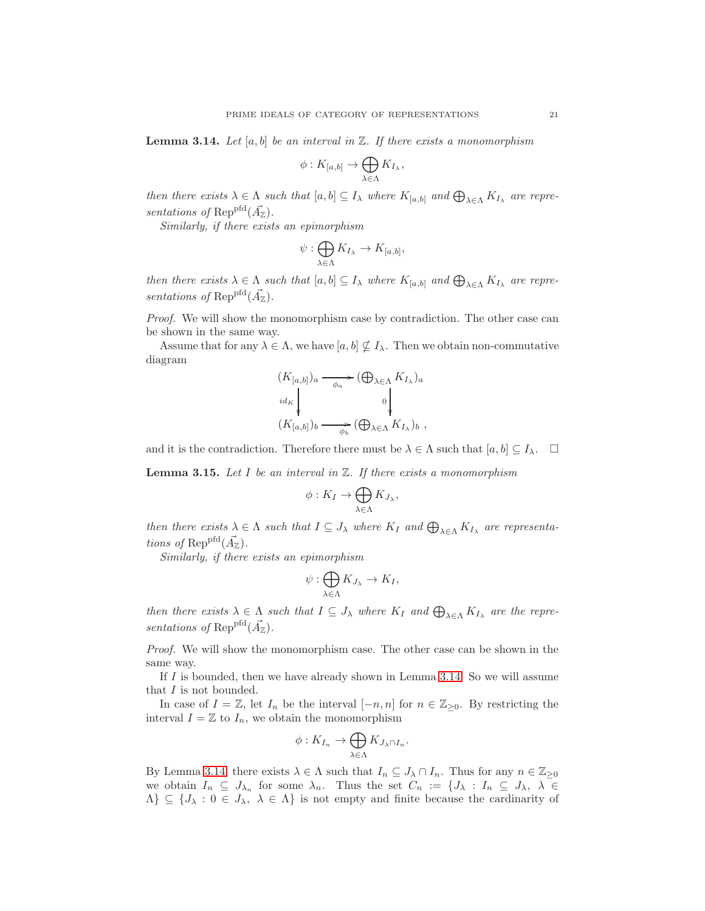<span id="page-20-0"></span>**Lemma 3.14.** Let  $[a, b]$  be an interval in  $\mathbb{Z}$ . If there exists a monomorphism

$$
\phi: K_{[a,b]} \to \bigoplus_{\lambda \in \Lambda} K_{I_{\lambda}},
$$

then there exists  $\lambda \in \Lambda$  such that  $[a, b] \subseteq I_{\lambda}$  where  $K_{[a, b]}$  and  $\bigoplus_{\lambda \in \Lambda} K_{I_{\lambda}}$  are representations of  $\text{Rep}^{\text{pfd}}(\vec{A_{\mathbb{Z}}})$ .

Similarly, if there exists an epimorphism

$$
\psi: \bigoplus_{\lambda \in \Lambda} K_{I_{\lambda}} \to K_{[a,b]},
$$

then there exists  $\lambda \in \Lambda$  such that  $[a, b] \subseteq I_{\lambda}$  where  $K_{[a, b]}$  and  $\bigoplus_{\lambda \in \Lambda} K_{I_{\lambda}}$  are representations of  $\text{Rep}^{\text{pfd}}(\vec{A_{\mathbb{Z}}})$ .

Proof. We will show the monomorphism case by contradiction. The other case can be shown in the same way.

Assume that for any  $\lambda \in \Lambda$ , we have  $[a, b] \nsubseteq I_{\lambda}$ . Then we obtain non-commutative diagram

$$
(K_{[a,b]})_a \xrightarrow[\phi_a]{\phi_a} (\bigoplus_{\lambda \in \Lambda} K_{I_{\lambda}})_a
$$
  

$$
id_K \downarrow \qquad \qquad 0 \downarrow
$$
  

$$
(K_{[a,b]})_b \xrightarrow[\phi_b]{\phi_b} (\bigoplus_{\lambda \in \Lambda} K_{I_{\lambda}})_b ,
$$

and it is the contradiction. Therefore there must be  $\lambda \in \Lambda$  such that  $[a, b] \subseteq I_{\lambda}$ .  $\square$ 

<span id="page-20-1"></span>**Lemma 3.15.** Let  $I$  be an interval in  $\mathbb{Z}$ . If there exists a monomorphism

$$
\phi: K_I \to \bigoplus_{\lambda \in \Lambda} K_{J_{\lambda}},
$$

then there exists  $\lambda \in \Lambda$  such that  $I \subseteq J_{\lambda}$  where  $K_I$  and  $\bigoplus_{\lambda \in \Lambda} K_{I_{\lambda}}$  are representations of Rep<sup>pfd</sup> $(\vec{A}_{\mathbb{Z}})$ .

Similarly, if there exists an epimorphism

$$
\psi : \bigoplus_{\lambda \in \Lambda} K_{J_{\lambda}} \to K_I,
$$

then there exists  $\lambda \in \Lambda$  such that  $I \subseteq J_{\lambda}$  where  $K_I$  and  $\bigoplus_{\lambda \in \Lambda} K_{I_{\lambda}}$  are the representations of Rep<sup>pfd</sup> $(\vec{A_{\mathbb{Z}}})$ .

Proof. We will show the monomorphism case. The other case can be shown in the same way.

If  $I$  is bounded, then we have already shown in Lemma [3.14.](#page-20-0) So we will assume that  $I$  is not bounded.

In case of  $I = \mathbb{Z}$ , let  $I_n$  be the interval  $[-n, n]$  for  $n \in \mathbb{Z}_{\geq 0}$ . By restricting the interval  $I = \mathbb{Z}$  to  $I_n$ , we obtain the monomorphism

$$
\phi: K_{I_n} \to \bigoplus_{\lambda \in \Lambda} K_{J_{\lambda} \cap I_n}.
$$

By Lemma [3.14,](#page-20-0) there exists  $\lambda \in \Lambda$  such that  $I_n \subseteq J_\lambda \cap I_n$ . Thus for any  $n \in \mathbb{Z}_{\geq 0}$ we obtain  $I_n \subseteq J_{\lambda_n}$  for some  $\lambda_n$ . Thus the set  $C_n := \{J_\lambda : I_n \subseteq J_\lambda, \lambda \in$  $\{\Lambda\} \subseteq \{J_\lambda : 0 \in J_\lambda, \lambda \in \Lambda\}$  is not empty and finite because the cardinarity of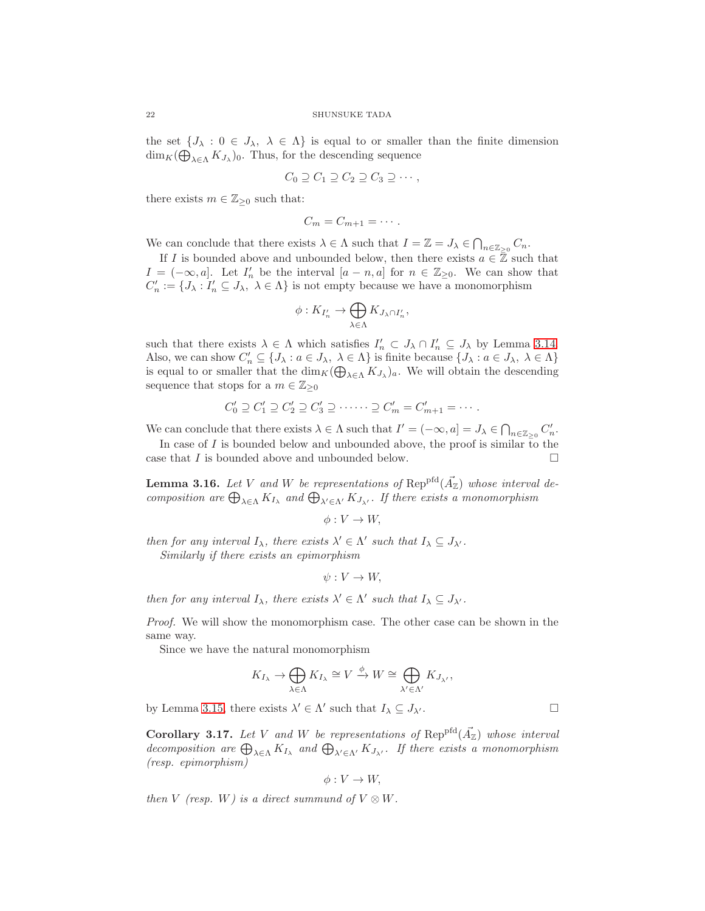the set  $\{J_\lambda: 0 \in J_\lambda, \lambda \in \Lambda\}$  is equal to or smaller than the finite dimension  $\dim_K(\bigoplus_{\lambda \in \Lambda} K_{J_\lambda})_0$ . Thus, for the descending sequence

$$
C_0 \supseteq C_1 \supseteq C_2 \supseteq C_3 \supseteq \cdots,
$$

there exists  $m \in \mathbb{Z}_{\geq 0}$  such that:

$$
C_m = C_{m+1} = \cdots.
$$

We can conclude that there exists  $\lambda \in \Lambda$  such that  $I = \mathbb{Z} = J_{\lambda} \in \bigcap_{n \in \mathbb{Z}_{\geq 0}} C_n$ .

If I is bounded above and unbounded below, then there exists  $a \in \mathbb{Z}$  such that  $I = (-\infty, a]$ . Let  $I'_n$  be the interval  $[a - n, a]$  for  $n \in \mathbb{Z}_{\geq 0}$ . We can show that  $C'_n := \{ J_\lambda : I'_n \subseteq J_\lambda, \lambda \in \Lambda \}$  is not empty because we have a monomorphism

$$
\phi: K_{I'_n} \to \bigoplus_{\lambda \in \Lambda} K_{J_{\lambda} \cap I'_n},
$$

such that there exists  $\lambda \in \Lambda$  which satisfies  $I'_n \subset J_\lambda \cap I'_n \subseteq J_\lambda$  by Lemma [3.14.](#page-20-0) Also, we can show  $C'_n \subseteq \{J_\lambda : a \in J_\lambda, \lambda \in \Lambda\}$  is finite because  $\{J_\lambda : a \in J_\lambda, \lambda \in \Lambda\}$ is equal to or smaller that the  $\dim_K(\bigoplus_{\lambda \in \Lambda} K_{J_\lambda})_a$ . We will obtain the descending sequence that stops for a  $m \in \mathbb{Z}_{\geq 0}$ 

$$
C'_0 \supseteq C'_1 \supseteq C'_2 \supseteq C'_3 \supseteq \cdots \supseteq C'_m = C'_{m+1} = \cdots
$$

We can conclude that there exists  $\lambda \in \Lambda$  such that  $I' = (-\infty, a] = J_{\lambda} \in \bigcap_{n \in \mathbb{Z}_{\geq 0}} C'_n$ .

In case of  $I$  is bounded below and unbounded above, the proof is similar to the case that I is bounded above and unbounded below.  $\Box$ 

<span id="page-21-0"></span>**Lemma 3.16.** Let V and W be representations of  $\text{Rep}^{\text{pfd}}(\vec{A}_{\mathbb{Z}})$  whose interval decomposition are  $\bigoplus_{\lambda \in \Lambda} K_{I_{\lambda}}$  and  $\bigoplus_{\lambda' \in \Lambda'} K_{J_{\lambda'}}$ . If there exists a monomorphism

$$
\phi: V \to W,
$$

then for any interval  $I_{\lambda}$ , there exists  $\lambda' \in \Lambda'$  such that  $I_{\lambda} \subseteq J_{\lambda'}$ .

Similarly if there exists an epimorphism

$$
\psi: V \to W,
$$

then for any interval  $I_{\lambda}$ , there exists  $\lambda' \in \Lambda'$  such that  $I_{\lambda} \subseteq J_{\lambda'}$ .

Proof. We will show the monomorphism case. The other case can be shown in the same way.

Since we have the natural monomorphism

$$
K_{I_{\lambda}} \to \bigoplus_{\lambda \in \Lambda} K_{I_{\lambda}} \cong V \xrightarrow{\phi} W \cong \bigoplus_{\lambda' \in \Lambda'} K_{J_{\lambda'}},
$$

by Lemma [3.15,](#page-20-1) there exists  $\lambda' \in \Lambda'$  such that  $I_{\lambda} \subseteq J_{\lambda'}$ .

<span id="page-21-1"></span>**Corollary 3.17.** Let V and W be representations of  $\text{Rep}^{\text{pfd}}(\vec{A}_{\mathbb{Z}})$  whose interval decomposition are  $\bigoplus_{\lambda \in \Lambda} K_{I_{\lambda}}$  and  $\bigoplus_{\lambda' \in \Lambda'} K_{J_{\lambda'}}$ . If there exists a monomorphism (resp. epimorphism)

$$
\phi: V \to W,
$$

then V (resp. W) is a direct summund of  $V \otimes W$ .

$$
\sqcup
$$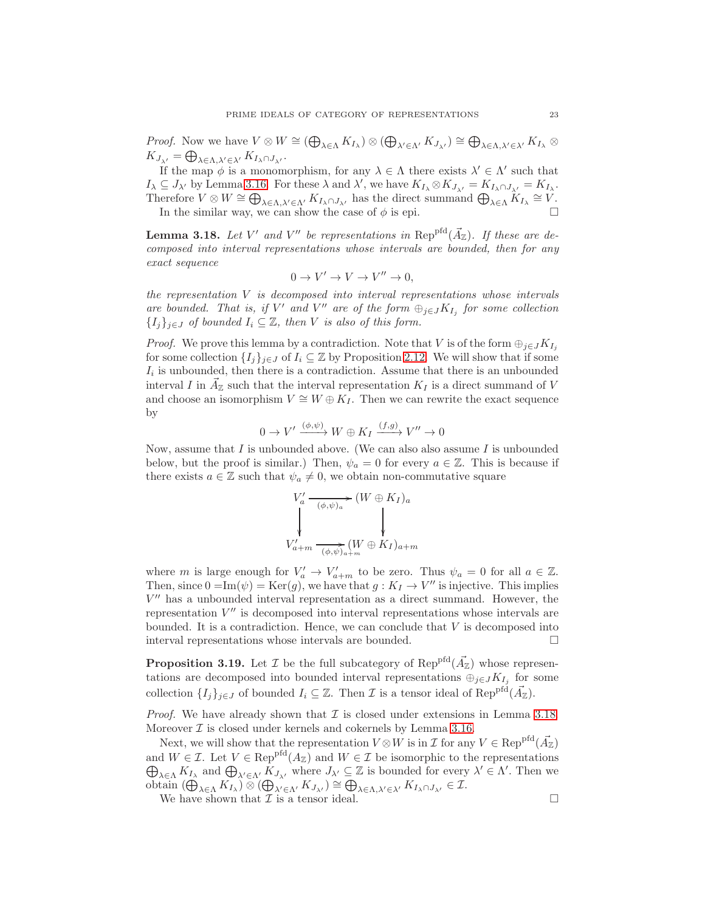*Proof.* Now we have  $V \otimes W \cong (\bigoplus_{\lambda \in \Lambda} K_{I_{\lambda}}) \otimes (\bigoplus_{\lambda' \in \Lambda'} K_{J_{\lambda'}}) \cong \bigoplus_{\lambda \in \Lambda, \lambda' \in \lambda'} K_{I_{\lambda}} \otimes$  $K_{J_{\lambda'}} = \bigoplus_{\lambda \in \Lambda, \lambda' \in \lambda'} K_{I_{\lambda} \cap J_{\lambda'}}.$ 

If the map  $\phi$  is a monomorphism, for any  $\lambda \in \Lambda$  there exists  $\lambda' \in \Lambda'$  such that  $I_{\lambda} \subseteq J_{\lambda'}$  by Lemma [3.16.](#page-21-0) For these  $\lambda$  and  $\lambda'$ , we have  $K_{I_{\lambda}} \otimes K_{J_{\lambda'}} = K_{I_{\lambda} \cap J_{\lambda'}} = K_{I_{\lambda}}$ . Therefore  $V \otimes W \cong \bigoplus_{\lambda \in \Lambda, \lambda' \in \Lambda'} K_{I_{\lambda} \cap J_{\lambda'}}$  has the direct summand  $\bigoplus_{\lambda \in \Lambda} K_{I_{\lambda}} \cong V$ . In the similar way, we can show the case of  $\phi$  is epi.

<span id="page-22-0"></span>**Lemma 3.18.** Let V' and V'' be representations in  $\text{Rep}^{\text{pfd}}(\vec{A}_{\mathbb{Z}})$ . If these are decomposed into interval representations whose intervals are bounded, then for any exact sequence

$$
0 \to V' \to V \to V'' \to 0,
$$

the representation  $V$  is decomposed into interval representations whose intervals are bounded. That is, if V' and V" are of the form  $\bigoplus_{j\in J}K_{I_j}$  for some collection  ${I_j}_{j\in J}$  of bounded  $I_i \subseteq \mathbb{Z}$ , then V is also of this form.

*Proof.* We prove this lemma by a contradiction. Note that V is of the form  $\bigoplus_{j\in J} K_{I_j}$ for some collection  $\{I_j\}_{j\in J}$  of  $I_i\subseteq \mathbb{Z}$  by Proposition [2.12.](#page-3-3) We will show that if some  $I_i$  is unbounded, then there is a contradiction. Assume that there is an unbounded interval I in  $\vec{A}_{\mathbb{Z}}$  such that the interval representation  $K_I$  is a direct summand of V and choose an isomorphism  $V \cong W \oplus K_I$ . Then we can rewrite the exact sequence by

$$
0 \to V' \xrightarrow{(\phi,\psi)} W \oplus K_I \xrightarrow{(f,g)} V'' \to 0
$$

Now, assume that  $I$  is unbounded above. (We can also also assume  $I$  is unbounded below, but the proof is similar.) Then,  $\psi_a = 0$  for every  $a \in \mathbb{Z}$ . This is because if there exists  $a \in \mathbb{Z}$  such that  $\psi_a \neq 0$ , we obtain non-commutative square

$$
V'_a \longrightarrow (W \oplus K_I)_a
$$
  
\n
$$
V'_{a+m} \longrightarrow (W \oplus K_I)_{a+m}
$$
  
\n
$$
V'_{a+m} \longrightarrow (W \oplus K_I)_{a+m}
$$

where m is large enough for  $V'_a \to V'_{a+m}$  to be zero. Thus  $\psi_a = 0$  for all  $a \in \mathbb{Z}$ . Then, since  $0 = \text{Im}(\psi) = \text{Ker}(g)$ , we have that  $g: K_I \to V''$  is injective. This implies V ′′ has a unbounded interval representation as a direct summand. However, the representation  $V''$  is decomposed into interval representations whose intervals are bounded. It is a contradiction. Hence, we can conclude that  $V$  is decomposed into interval representations whose intervals are bounded.

**Proposition 3.19.** Let  $\mathcal{I}$  be the full subcategory of  $\text{Rep}^{\text{pfd}}(\vec{A}_{\mathbb{Z}})$  whose representations are decomposed into bounded interval representations  $\oplus_{j\in J} K_{I_j}$  for some collection  $\{I_j\}_{j\in J}$  of bounded  $I_i\subseteq \mathbb{Z}$ . Then  $\mathcal I$  is a tensor ideal of Rep<sup>pfd</sup> $(\vec{A}_{\mathbb{Z}})$ .

*Proof.* We have already shown that  $\mathcal I$  is closed under extensions in Lemma [3.18.](#page-22-0) Moreover  $\mathcal I$  is closed under kernels and cokernels by Lemma [3.16.](#page-21-0)

Next, we will show that the representation  $V \otimes W$  is in  $\mathcal I$  for any  $V \in \operatorname{Rep}^{\text{pfd}}(\vec{A}_{\mathbb{Z}})$ and  $W \in \mathcal{I}$ . Let  $V \in \text{Rep}^{\text{pfd}}(A_{\mathbb{Z}})$  and  $W \in \mathcal{I}$  be isomorphic to the representations  $\bigoplus_{\lambda \in \Lambda} K_{I_{\lambda}}$  and  $\bigoplus_{\lambda' \in \Lambda'} K_{J_{\lambda'}}$  where  $J_{\lambda'} \subseteq \mathbb{Z}$  is bounded for every  $\lambda' \in \Lambda'$ . Then we obtain  $(\bigoplus_{\lambda \in \Lambda} K_{I_{\lambda}}) \otimes (\bigoplus_{\lambda' \in \Lambda'} K_{J_{\lambda'}}) \cong \bigoplus_{\lambda \in \Lambda, \lambda' \in \lambda'} K_{I_{\lambda} \cap J_{\lambda'}} \in \mathcal{I}.$ 

We have shown that  $\mathcal I$  is a tensor ideal.  $\Box$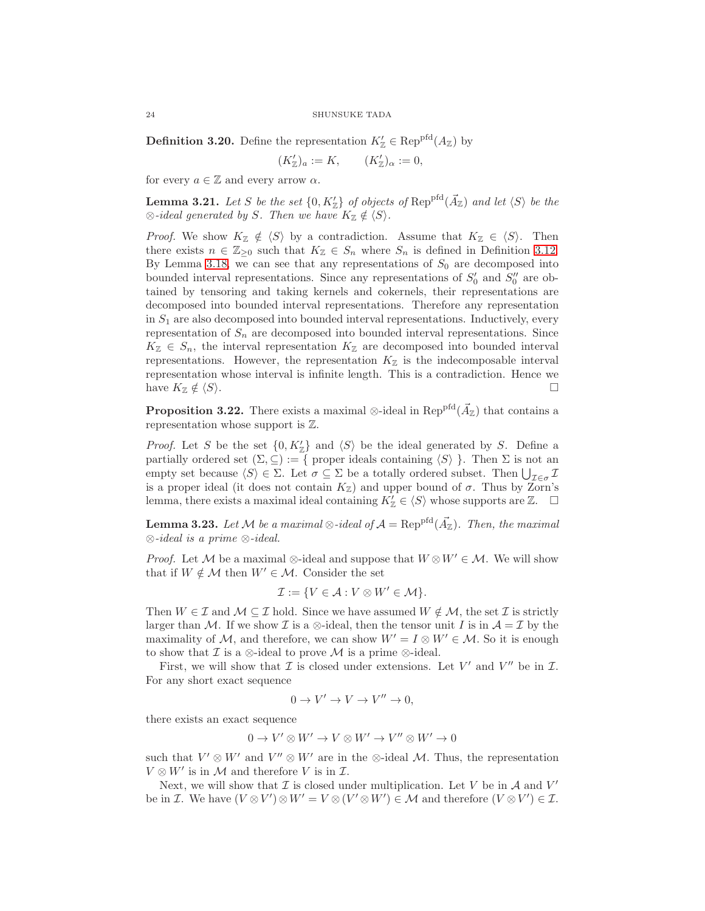**Definition 3.20.** Define the representation  $K_{\mathbb{Z}} \in \text{Rep}^{\text{pfd}}(A_{\mathbb{Z}})$  by

$$
(K'_{\mathbb{Z}})_a := K, \qquad (K'_{\mathbb{Z}})_\alpha := 0,
$$

for every  $a \in \mathbb{Z}$  and every arrow  $\alpha$ .

**Lemma 3.21.** Let S be the set  $\{0, K_Z\}$  of objects of  $\text{Rep}^{\text{pfd}}(\vec{A}_{\mathbb{Z}})$  and let  $\langle S \rangle$  be the  $\otimes$ -ideal generated by S. Then we have  $K_{\mathbb{Z}} \notin \langle S \rangle$ .

*Proof.* We show  $K_{\mathbb{Z}} \notin \langle S \rangle$  by a contradiction. Assume that  $K_{\mathbb{Z}} \in \langle S \rangle$ . Then there exists  $n \in \mathbb{Z}_{\geq 0}$  such that  $K_{\mathbb{Z}} \in S_n$  where  $S_n$  is defined in Definition [3.12.](#page-19-0) By Lemma [3.18,](#page-22-0) we can see that any representations of  $S_0$  are decomposed into bounded interval representations. Since any representations of  $S'_{0}$  and  $S''_{0}$  are obtained by tensoring and taking kernels and cokernels, their representations are decomposed into bounded interval representations. Therefore any representation in  $S_1$  are also decomposed into bounded interval representations. Inductively, every representation of  $S_n$  are decomposed into bounded interval representations. Since  $K_{\mathbb{Z}} \in S_n$ , the interval representation  $K_{\mathbb{Z}}$  are decomposed into bounded interval representations. However, the representation  $K_{\mathbb{Z}}$  is the indecomposable interval representation whose interval is infinite length. This is a contradiction. Hence we have  $K_{\mathbb{Z}} \notin \langle S \rangle$ .

<span id="page-23-0"></span>**Proposition 3.22.** There exists a maximal  $\otimes$ -ideal in  $\text{Rep}^{\text{pfd}}(\vec{A}_{\mathbb{Z}})$  that contains a representation whose support is Z.

*Proof.* Let S be the set  $\{0, K'_{\mathbb{Z}}\}$  and  $\langle S \rangle$  be the ideal generated by S. Define a partially ordered set  $(\Sigma, \subseteq) := \{$  proper ideals containing  $\langle S \rangle$ . Then  $\Sigma$  is not an empty set because  $\langle S \rangle \in \Sigma$ . Let  $\sigma \subseteq \Sigma$  be a totally ordered subset. Then  $\bigcup_{\mathcal{I} \in \sigma} \mathcal{I}$ is a proper ideal (it does not contain  $K_{\mathbb{Z}}$ ) and upper bound of  $\sigma$ . Thus by Zorn's lemma, there exists a maximal ideal containing  $K'_{\mathbb{Z}} \in \langle S \rangle$  whose supports are  $\mathbb{Z}$ .  $\Box$ 

<span id="page-23-1"></span>**Lemma 3.23.** Let M be a maximal  $\otimes$ -ideal of  $\mathcal{A} = \text{Rep}^{\text{pfd}}(\vec{A_{\mathbb{Z}}})$ . Then, the maximal ⊗-ideal is a prime ⊗-ideal.

*Proof.* Let M be a maximal ⊗-ideal and suppose that  $W \otimes W' \in \mathcal{M}$ . We will show that if  $W \notin \mathcal{M}$  then  $W' \in \mathcal{M}$ . Consider the set

$$
\mathcal{I} := \{ V \in \mathcal{A} : V \otimes W' \in \mathcal{M} \}.
$$

Then  $W \in \mathcal{I}$  and  $\mathcal{M} \subseteq \mathcal{I}$  hold. Since we have assumed  $W \notin \mathcal{M}$ , the set  $\mathcal{I}$  is strictly larger than M. If we show  $\mathcal I$  is a ⊗-ideal, then the tensor unit I is in  $\mathcal A = \mathcal I$  by the maximality of M, and therefore, we can show  $W' = I \otimes W' \in \mathcal{M}$ . So it is enough to show that  $\mathcal I$  is a ⊗-ideal to prove  $\mathcal M$  is a prime ⊗-ideal.

First, we will show that  $\mathcal I$  is closed under extensions. Let  $V'$  and  $V''$  be in  $\mathcal I$ . For any short exact sequence

$$
0 \to V' \to V \to V'' \to 0,
$$

there exists an exact sequence

$$
0 \to V' \otimes W' \to V \otimes W' \to V'' \otimes W' \to 0
$$

such that  $V' \otimes W'$  and  $V'' \otimes W'$  are in the  $\otimes$ -ideal M. Thus, the representation  $V \otimes W'$  is in  $\mathcal M$  and therefore V is in  $\mathcal I$ .

Next, we will show that  $\mathcal I$  is closed under multiplication. Let V be in  $\mathcal A$  and  $V'$ be in *I*. We have  $(V \otimes V') \otimes W' = V \otimes (V' \otimes W') \in \mathcal{M}$  and therefore  $(V \otimes V') \in \mathcal{I}$ .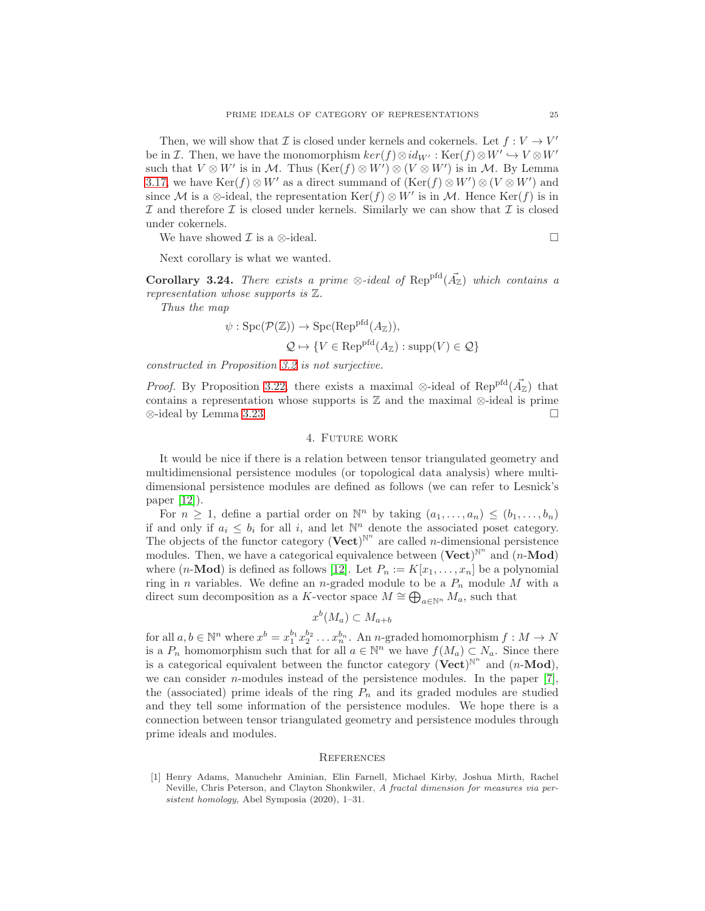Then, we will show that  $\mathcal I$  is closed under kernels and cokernels. Let  $f: V \to V'$ be in *I*. Then, we have the monomorphism  $ker(f) \otimes id_{W'} : Ker(f) \otimes W' \hookrightarrow V \otimes W'$ such that  $V \otimes W'$  is in M. Thus  $(\text{Ker}(f) \otimes W') \otimes (V \otimes W')$  is in M. By Lemma [3.17,](#page-21-1) we have  $\text{Ker}(f) \otimes W'$  as a direct summand of  $(\text{Ker}(f) \otimes W') \otimes (V \otimes W')$  and since M is a ⊗-ideal, the representation  $\text{Ker}(f) \otimes W'$  is in M. Hence  $\text{Ker}(f)$  is in  $\mathcal I$  and therefore  $\mathcal I$  is closed under kernels. Similarly we can show that  $\mathcal I$  is closed under cokernels.

We have showed  $\mathcal I$  is a  $\otimes$ -ideal.

Next corollary is what we wanted.

<span id="page-24-1"></span>**Corollary 3.24.** There exists a prime  $\otimes$ -ideal of  $\text{Rep}^{\text{pd}}(\vec{A}_{\mathbb{Z}})$  which contains a representation whose supports is  $\mathbb{Z}$ .

Thus the map

$$
\psi : \text{Spc}(\mathcal{P}(\mathbb{Z})) \to \text{Spc}(\text{Rep}^{\text{pfd}}(A_{\mathbb{Z}})),
$$
  

$$
\mathcal{Q} \mapsto \{ V \in \text{Rep}^{\text{pfd}}(A_{\mathbb{Z}}) : \text{supp}(V) \in \mathcal{Q} \}
$$

constructed in Proposition [3.2](#page-14-0) is not surjective.

*Proof.* By Proposition [3.22,](#page-23-0) there exists a maximal ⊗-ideal of Rep<sup>pfd</sup>( $\vec{A}_{\mathbb{Z}}$ ) that contains a representation whose supports is  $\mathbb Z$  and the maximal ⊗-ideal is prime ⊗-ideal by Lemma [3.23.](#page-23-1)

#### 4. Future work

<span id="page-24-2"></span>It would be nice if there is a relation between tensor triangulated geometry and multidimensional persistence modules (or topological data analysis) where multidimensional persistence modules are defined as follows (we can refer to Lesnick's paper [\[12\]](#page-25-13)).

For  $n \geq 1$ , define a partial order on  $\mathbb{N}^n$  by taking  $(a_1, \ldots, a_n) \leq (b_1, \ldots, b_n)$ if and only if  $a_i \leq b_i$  for all i, and let  $\mathbb{N}^n$  denote the associated poset category. The objects of the functor category (Vect)<sup> $N^n$ </sup> are called *n*-dimensional persistence modules. Then, we have a categorical equivalence between  $(Vect)^{N^n}$  and  $(n\text{-Mod})$ where  $(n\text{-}\textbf{Mod})$  is defined as follows [\[12\]](#page-25-13). Let  $P_n := K[x_1, \ldots, x_n]$  be a polynomial ring in n variables. We define an n-graded module to be a  $P_n$  module M with a direct sum decomposition as a K-vector space  $M \cong \bigoplus_{a \in \mathbb{N}^n} M_a$ , such that

$$
x^b(M_a) \subset M_{a+b}
$$

for all  $a, b \in \mathbb{N}^n$  where  $x^b = x_1^{b_1} x_2^{b_2} \dots x_n^{b_n}$ . An *n*-graded homomorphism  $f : M \to N$ is a  $P_n$  homomorphism such that for all  $a \in \mathbb{N}^n$  we have  $f(M_a) \subset N_a$ . Since there is a categorical equivalent between the functor category  $(Vect)^{\mathbb{N}^n}$  and  $(n\text{-Mod})$ , we can consider n-modules instead of the persistence modules. In the paper [\[7\]](#page-25-14), the (associated) prime ideals of the ring  $P_n$  and its graded modules are studied and they tell some information of the persistence modules. We hope there is a connection between tensor triangulated geometry and persistence modules through prime ideals and modules.

#### **REFERENCES**

<span id="page-24-0"></span><sup>[1]</sup> Henry Adams, Manuchehr Aminian, Elin Farnell, Michael Kirby, Joshua Mirth, Rachel Neville, Chris Peterson, and Clayton Shonkwiler, *A fractal dimension for measures via persistent homology*, Abel Symposia (2020), 1–31.